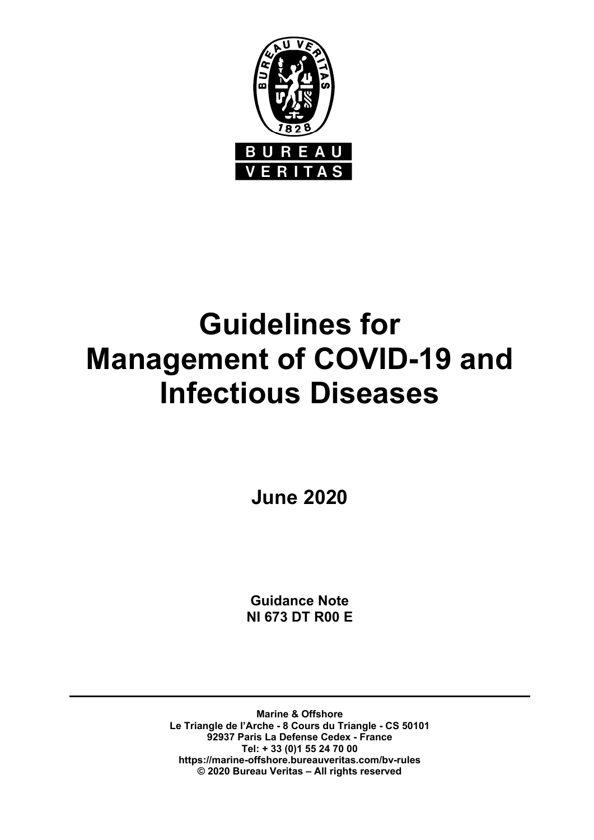

# **Guidelines for Management of COVID-19 and Infectious Diseases**

**June 2020** 

**Guidance Note NI 673 DT R00 E** 

**Marine & Offshore Le Triangle de l'Arche - 8 Cours du Triangle - CS 50101 92937 Paris La Defense Cedex - France Tel: + 33 (0)1 55 24 70 00 https://marine-offshore.bureauveritas.com/bv-rules © 2020 Bureau Veritas – All rights reserved**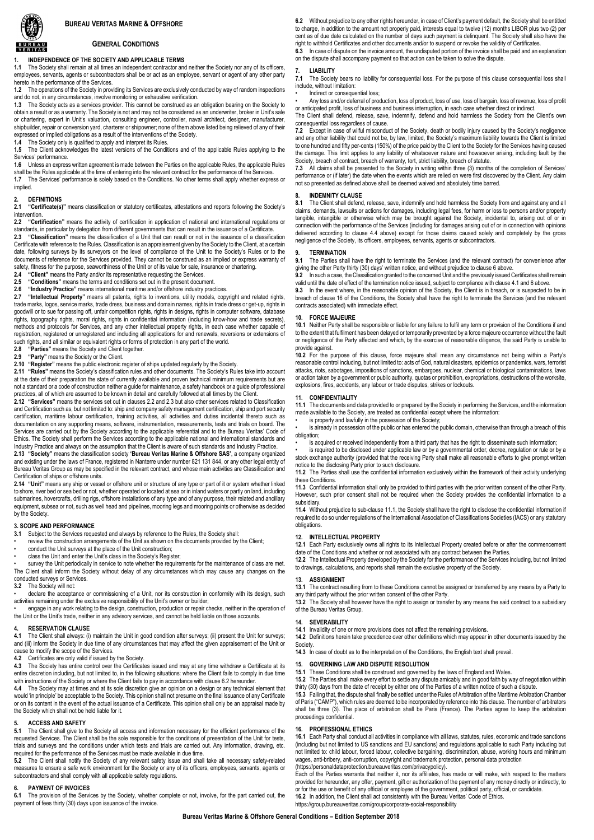#### **BUREAU VERITAS MARINE & OFFSHORE**



#### **GENERAL CONDITIONS**

# **1. INDEPENDENCE OF THE SOCIETY AND APPLICABLE TERMS**<br>**1.1** The Society shall remain at all times an independent contractor and

The Society shall remain at all times an independent contractor and neither the Society nor any of its officers, employees, servants, agents or subcontractors shall be or act as an employee, servant or agent of any other party hereto in the performance of the Services.

**1.2** The operations of the Society in providing its Services are exclusively conducted by way of random inspections and do not, in any circumstances, involve monitoring or exhaustive verification. **1.3** The Society acts as a services provider. This cannot be construed as an obligation bearing on the Society to

obtain a result or as a warranty. The Society is not and may not be considered as an underwriter, broker in Unit's sale or chartering, expert in Unit's valuation, consulting engineer, controller, naval architect, designer, manufacturer, shipbuilder, repair or conversion yard, charterer or shipowner; none of them above listed being relieved of any of their expressed or implied obligations as a result of the interventions of the Society.

**1.4** The Society only is qualified to apply and interpret its Rules.

**1.5** The Client acknowledges the latest versions of the Conditions and of the applicable Rules applying to the Services' performance.

**1.6** Unless an express written agreement is made between the Parties on the applicable Rules, the applicable Rules shall be the Rules applicable at the time of entering into the relevant contract for the performance of the Services.

**1.7** The Services' performance is solely based on the Conditions. No other terms shall apply whether express or implied.

# **2. DEFINITIONS**

**2.1 "Certificate(s)"** means classification or statutory certificates, attestations and reports following the Society's intervention.

**2.2 "Certification"** means the activity of certification in application of national and international regulations or standards, in particular by delegation from different governments that can result in the issuance of a Certificate.

**2.3 "Classification"** means the classification of a Unit that can result or not in the issuance of a classification Certificate with reference to the Rules. Classification is an appraisement given by the Society to the Client, at a certain date, following surveys by its surveyors on the level of compliance of the Unit to the Society's Rules or to the documents of reference for the Services provided. They cannot be construed as an implied or express warranty of safety, fitness for the purpose, seaworthiness of the Unit or of its value for sale, insurance or chartering.<br>2.4 "Client" means the Party and/or its representative requesting the Services.

**2.4 "Client"** means the Party and/or its representative requesting the Services.<br>**2.5 "Conditions"** means the terms and conditions set out in the present docum

**2.5 "Conditions"** means the terms and conditions set out in the present document.

**2.6 "Industry Practice"** means international maritime and/or offshore industry practices.

**2.7 "Intellectual Property"** means all patents, rights to inventions, utility models, copyright and related rights, trade marks, logos, service marks, trade dress, business and domain names, rights in trade dress or get-up, rights in goodwill or to sue for passing off, unfair competition rights, rights in designs, rights in computer software, database rights, topography rights, moral rights, rights in confidential information (including know-how and trade secrets), methods and protocols for Services, and any other intellectual property rights, in each case whether capable of registration, registered or unregistered and including all applications for and renewals, reversions or extensions of such rights, and all similar or equivalent rights or forms of protection in any part of the world.

**2.8 "Parties"** means the Society and Client together.

**2.9 "Party"** means the Society or the Client.<br>**2.10 "Register"** means the public electronic r

**2.10 "Register"** means the public electronic register of ships updated regularly by the Society.

**2.11 "Rules"** means the Society's classification rules and other documents. The Society's Rules take into account at the date of their preparation the state of currently available and proven technical minimum requirements but are not a standard or a code of construction neither a guide for maintenance, a safety handbook or a guide of professional

practices, all of which are assumed to be known in detail and carefully followed at all times by the Client.<br>**2.12 "Services"** means the services set out in clauses 2.2 and 2.3 but also other services related to Classifica and Certification such as, but not limited to: ship and company safety management certification, ship and port security certification, maritime labour certification, training activities, all activities and duties incidental thereto such as documentation on any supporting means, software, instrumentation, measurements, tests and trials on board. The Services are carried out by the Society according to the applicable referential and to the Bureau Veritas' Code of Ethics. The Society shall perform the Services according to the applicable national and international standards and

Industry Practice and always on the assumption that the Client is aware of such standards and Industry Practice.<br>2.13 "Society" means the classification society 'Bureau Veritas Marine & Offshore SAS', a company organize **2.13 "Society"** means the classification society **'Bureau Veritas Marine & Offshore SAS'**, a company organized and existing under the laws of France, registered in Nanterre under number 821 131 844, or any other legal entity of Bureau Veritas Group as may be specified in the relevant contract, and whose main activities are Classification and Certification of ships or offshore units.

**2.14 "Unit"** means any ship or vessel or offshore unit or structure of any type or part of it or system whether linked to shore, river bed or sea bed or not, whether operated or located at sea or in inland waters or partly on land, including<br>submarines, hovercrafts, drilling rigs, offshore installations of any type and of any purpose, thei equipment, subsea or not, such as well head and pipelines, mooring legs and mooring points or otherwise as decided by the Society.

#### **3. SCOPE AND PERFORMANCE**

**3.1** Subject to the Services requested and always by reference to the Rules, the Society shall:

review the construction arrangements of the Unit as shown on the documents provided by the Client;

conduct the Unit surveys at the place of the Unit construction;

class the Unit and enter the Unit's class in the Society's Register;

survey the Unit periodically in service to note whether the requirements for the maintenance of class are met. The Client shall inform the Society without delay of any circumstances which may cause any changes on the conducted surveys or Services.

**3.2** The Society will not:

declare the acceptance or commissioning of a Unit, nor its construction in conformity with its design, such activities remaining under the exclusive responsibility of the Unit's owner or builder;

• engage in any work relating to the design, construction, production or repair checks, neither in the operation of the Unit or the Unit's trade, neither in any advisory services, and cannot be held liable on those accounts.

#### **4. RESERVATION CLAUSE**

**4.1** The Client shall always: (i) maintain the Unit in good condition after surveys; (ii) present the Unit for surveys; and (iii) inform the Society in due time of any circumstances that may affect the given appraisement of the Unit or cause to modify the scope of the Services.<br>4.2 Certificates are only valid if issued by

**4.2** Certificates are only valid if issued by the Society.

**4.3** The Society has entire control over the Certificates issued and may at any time withdraw a Certificate at its entire discretion including, but not limited to, in the following situations: where the Client fails to comply in due time with instructions of the Society or where the Client fails to pay in accordance with clause 6.2 hereunder.

**4.4** The Society may at times and at its sole discretion give an opinion on a design or any technical element that would 'in principle' be acceptable to the Society. This opinion shall not presume on the final issuance of any Certificate<br>or on its content in the event of the actual issuance of a Certificate. This opinion shall only be the Society which shall not be held liable for it.

#### **5. ACCESS AND SAFETY**

**5.1** The Client shall give to the Society all access and information necessary for the efficient performance of the requested Services. The Client shall be the sole responsible for the conditions of presentation of the Unit for tests, trials and surveys and the conditions under which tests and trials are carried out. Any information, drawing, etc. required for the performance of the Services must be made available in due time.

**5.2** The Client shall notify the Society of any relevant safety issue and shall take all necessary safety-related measures to ensure a safe work environment for the Society or any of its officers, employees, servants, agents or subcontractors and shall comply with all applicable safety regulations.

# **6.** PAYMENT OF INVOICES

**6.1** The provision of the Services by the Society, whether complete or not, involve, for the part carried out, the payment of fees thirty (30) days upon issuance of the invoice.

**6.2** Without prejudice to any other rights hereunder, in case of Client's payment default, the Society shall be entitled to charge, in addition to the amount not properly paid, interests equal to twelve (12) months LIBOR plus two (2) per cent as of due date calculated on the number of days such payment is delinquent. The Society shall also have the right to withhold Certificates and other documents and/or to suspend or revoke the validity of Certificates.<br>6.3 In case of dispute on the invoice amount, the undisputed portion of the invoice shall be paid and an a

In case of dispute on the invoice amount, the undisputed portion of the invoice shall be paid and an explanation on the dispute shall accompany payment so that action can be taken to solve the dispute.

#### **7. LIABILITY**

**7.1** The Society bears no liability for consequential loss. For the purpose of this clause consequential loss shall include, without limitation: • Indirect or consequential loss;

• Any loss and/or deferral of production, loss of product, loss of use, loss of bargain, loss of revenue, loss of profit or anticipated profit, loss of business and business interruption, in each case whether direct or indirect.

The Client shall defend, release, save, indemnify, defend and hold harmless the Society from the Client's own consequential loss regardless of cause.

**7.2** Except in case of wilful misconduct of the Society, death or bodily injury caused by the Society's negligence and any other liability that could not be, by law, limited, the Society's maximum liability towards the Client is limited to one hundred and fifty per-cents (150%) of the price paid by the Client to the Society for the Services having caused the damage. This limit applies to any liability of whatsoever nature and howsoever arising, including fault by the<br>Society, breach of contract, breach of warranty, tort, strict liability, breach of statute.<br>7.3 All claims

performance or (if later) the date when the events which are relied on were first discovered by the Client. Any claim not so presented as defined above shall be deemed waived and absolutely time barred.

#### **8. INDEMNITY CLAUSE**

**8.1** The Client shall defend, release, save, indemnify and hold harmless the Society from and against any and all claims, demands, lawsuits or actions for damages, including legal fees, for harm or loss to persons and/or property tangible, intangible or otherwise which may be brought against the Society, incidental to, arising out of or in connection with the performance of the Services (including for damages arising out of or in connection with opinions delivered according to clause 4.4 above) except for those claims caused solely and completely by the gross negligence of the Society, its officers, employees, servants, agents or subcontractors.

# **9. TERMINATION**<br>**9.1** The Parties sha

**9.1** The Parties shall have the right to terminate the Services (and the relevant contract) for convenience after giving the other Party thirty (30) days' written notice, and without prejudice to clause 6 above.<br> **9.2** In such a case the Classification graphed to the concerned Unit and the previously issued (

g are onter a any alling (co) days whitermolect, and without prejudice to clause o above.<br>In such a case, the Classification granted to the concerned Unit and the previously issued Certificates shall remain valid until the date of effect of the termination notice issued, subject to compliance with clause 4.1 and 6 above.

**9.3** In the event where, in the reasonable opinion of the Society, the Client is in breach, or is suspected to be in breach of clause 16 of the Conditions, the Society shall have the right to terminate the Services (and the relevant contracts associated) with immediate effect.

#### **10. FORCE MAJEURE**

**10.1** Neither Party shall be responsible or liable for any failure to fulfil any term or provision of the Conditions if and to the extent that fulfilment has been delayed or temporarily prevented by a force majeure occurrence without the fault or negligence of the Party affected and which, by the exercise of reasonable diligence, the said Party is unable to provide against.

**10.2** For the purpose of this clause, force majeure shall mean any circumstance not being within a Party's reasonable control including, but not limited to: acts of God, natural disasters, epidemics or pandemics, wars, terrorist attacks, riots, sabotages, impositions of sanctions, embargoes, nuclear, chemical or biological contaminations, laws or action taken by a government or public authority, quotas or prohibition, expropriations, destructions of the worksite, explosions, fires, accidents, any labour or trade disputes, strikes or lockouts.

#### **11. CONFIDENTIALITY**

**11.1** The documents and data provided to or prepared by the Society in performing the Services, and the information<br>made available to the Society, are treated as confidential except where the information:

is properly and lawfully in the possession of the Society;

is already in possession of the public or has entered the public domain, otherwise than through a breach of this obligation;

is acquired or received independently from a third party that has the right to disseminate such information;

is required to be disclosed under applicable law or by a governmental order, decree, regulation or rule or by a stock exchange authority (provided that the receiving Party shall make all reasonable efforts to give prompt written notice to the disclosing Party prior to such disclosure.

**11.2** The Parties shall use the confidential information exclusively within the framework of their activity underlying these Conditions.

**11.3** Confidential information shall only be provided to third parties with the prior written consent of the other Party. However, such prior consent shall not be required when the Society provides the confidential information to a subsidiary.

**11.4** Without prejudice to sub-clause 11.1, the Society shall have the right to disclose the confidential information if required to do so under regulations of the International Association of Classifications Societies (IACS) or any statutory obligations.

#### **12. INTELLECTUAL PROPERTY**

**12.1** Each Party exclusively owns all rights to its Intellectual Property created before or after the commencement date of the Conditions and whether or not associated with any contract between the Parties.

**12.2** The Intellectual Property developed by the Society for the performance of the Services including, but not limited to drawings, calculations, and reports shall remain the exclusive property of the Society.

#### **13. ASSIGNMENT**

**13.1** The contract resulting from to these Conditions cannot be assigned or transferred by any means by a Party to any third party without the prior written consent of the other Party.

**13.2** The Society shall however have the right to assign or transfer by any means the said contract to a subsidiary of the Bureau Veritas Group.

#### **14. SEVERABILITY**

**14.1** Invalidity of one or more provisions does not affect the remaining provisions.

**14.2** Definitions herein take precedence over other definitions which may appear in other documents issued by the **Society** 

**14.3** In case of doubt as to the interpretation of the Conditions, the English text shall prevail.

# **15. GOVERNING LAW AND DISPUTE RESOLUTION**<br>**15.1** These Conditions shall be construed and governed

**15.1** These Conditions shall be construed and governed by the laws of England and Wales.

15.2 The Parties shall make every effort to settle any dispute amicably and in good faith by way of negotiation within<br>thirty (30) days from the date of receipt by either one of the Parties of a written notice of such a di

**15.3** Failing that, the dispute shall finally be settled under the Rules of Arbitration of the Maritime Arbitration Chamber of Paris ("CAMP"), which rules are deemed to be incorporated by reference into this clause. The number of arbitrators<br>shall be three (3). The place of arbitration shall be Paris (France). The Parties agree t proceedings confidential

#### **16. PROFESSIONAL ETHICS**

**16.1** Each Party shall conduct all activities in compliance with all laws, statutes, rules, economic and trade sanctions (including but not limited to US sanctions and EU sanctions) and regulations applicable to such Party including but not limited to: child labour, forced labour, collective bargaining, discrimination, abuse, working hours and minimum wages, anti-bribery, anti-corruption, copyright and trademark protection, personal data protection (https://personaldataprotection.bureauveritas.com/privacypolicy).

Each of the Parties warrants that neither it, nor its affiliates, has made or will make, with respect to the matters provided for hereunder, any offer, payment, gift or authorization of the payment of any money directly or indirectly, to or for the use or benefit of any official or employee of the government, political party, official, or candidate. **16.2** In addition, the Client shall act consistently with the Bureau Veritas' Code of Ethics. https://group.bureauveritas.com/group/corporate-social-responsibility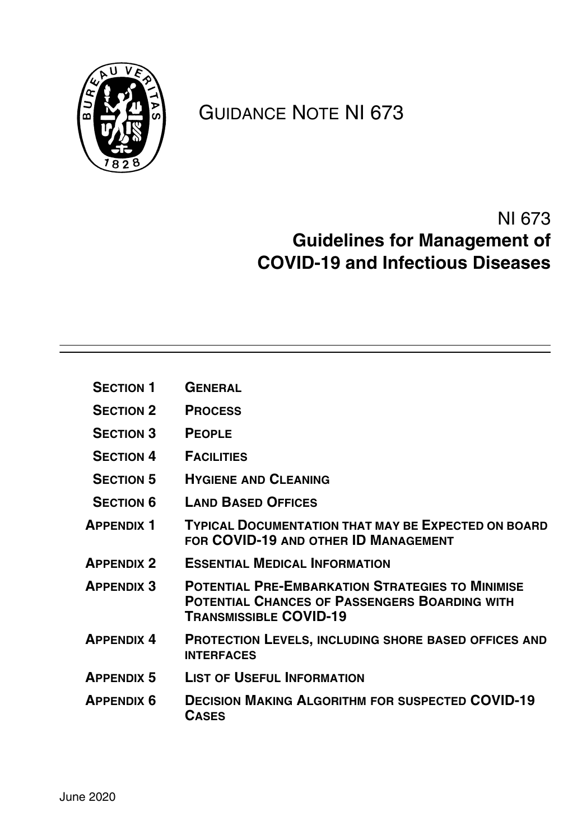

# GUIDANCE NOTE NI 673

# NI 673 **Guidelines for Management of COVID-19 and Infectious Diseases**

- **[S](#page-8-0)ECTION 1 GENERAL**
- [S](#page-11-0)ECTION 2 **PROCESS**
- **[S](#page-18-0)ECTION 3 PEOPLE**
- **[S](#page-20-0)ECTION 4 FACILITIES**
- **[S](#page-22-0)ECTION 5 HYGIENE AND CLEANING**
- [S](#page-24-0)ECTION 6 LAND BASED OFFICES
- **APPENDIX 1TYPICAL DOCUMENTATION THAT MAY BE EXPECTED ON BOARD FOR COVID-19 AND OTHER ID MANAGEMENT**
- **APPENDIX 2 ESSENTIAL MEDICAL INFORMATION**
- **APPENDIX 3POTENTIAL PRE-EMBARKATION STRATEGIES TO MINIMISE POTENTIAL CHANCES OF PASSENGERS BOARDING WITH TRANSMISSIBLE COVID-19**
- **APPENDIX 4PROTECTION LEVELS, INCLUDING SHORE BASED OFFICES AND INTERFACES**
- **APPENDIX 5 LIST OF USEFUL INFORMATION**
- **APPENDIX 6DECISION MAKING ALGORITHM FOR SUSPECTED COVID-19 CASES**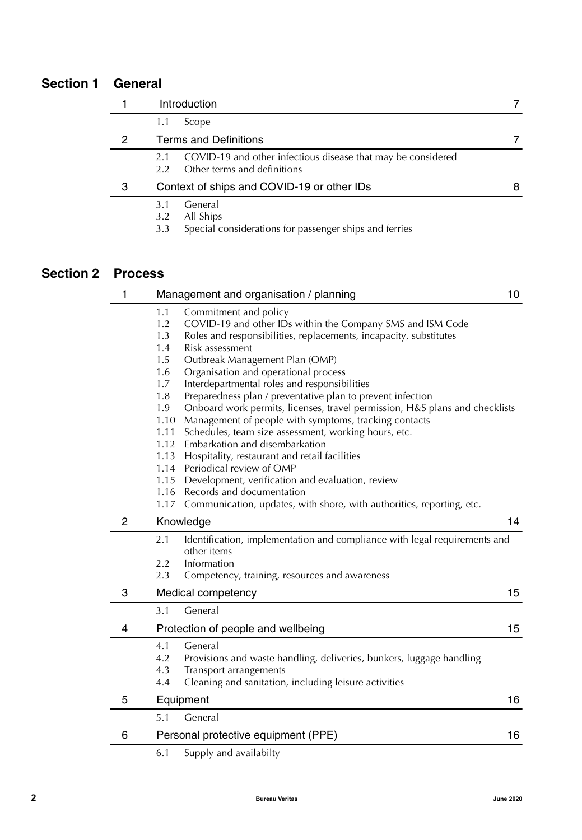# **Section 1 General**

|   | Introduction                                                                                                        |   |
|---|---------------------------------------------------------------------------------------------------------------------|---|
|   | Scope<br>1.1                                                                                                        |   |
| 2 | <b>Terms and Definitions</b>                                                                                        |   |
|   | COVID-19 and other infectious disease that may be considered<br>2.1<br>Other terms and definitions<br>$2.2^{\circ}$ |   |
| 3 | Context of ships and COVID-19 or other IDs                                                                          | 8 |
|   | General<br>3.1<br>All Ships<br>3.2<br>Special considerations for passenger ships and ferries<br>3.3                 |   |

# **Section 2 Process**

| 1              |                                                                 | Management and organisation / planning                                      | 10 |
|----------------|-----------------------------------------------------------------|-----------------------------------------------------------------------------|----|
|                | 1.1                                                             | Commitment and policy                                                       |    |
|                | 1.2                                                             | COVID-19 and other IDs within the Company SMS and ISM Code                  |    |
|                | 1.3                                                             | Roles and responsibilities, replacements, incapacity, substitutes           |    |
|                | 1.4<br>Risk assessment<br>Outbreak Management Plan (OMP)<br>1.5 |                                                                             |    |
|                | 1.6                                                             | Organisation and operational process                                        |    |
|                | 1.7                                                             | Interdepartmental roles and responsibilities                                |    |
|                | 1.8                                                             | Preparedness plan / preventative plan to prevent infection                  |    |
|                | 1.9                                                             | Onboard work permits, licenses, travel permission, H&S plans and checklists |    |
|                | 1.10                                                            | Management of people with symptoms, tracking contacts                       |    |
|                | 1.11                                                            | Schedules, team size assessment, working hours, etc.                        |    |
|                | 1.12                                                            | Embarkation and disembarkation                                              |    |
|                | 1.13                                                            | Hospitality, restaurant and retail facilities                               |    |
|                | 1.14                                                            | Periodical review of OMP                                                    |    |
|                | 1.15                                                            | Development, verification and evaluation, review                            |    |
|                | 1.16                                                            | Records and documentation                                                   |    |
|                | 1.17                                                            | Communication, updates, with shore, with authorities, reporting, etc.       |    |
| $\overline{2}$ | Knowledge                                                       |                                                                             | 14 |
|                | 2.1                                                             | Identification, implementation and compliance with legal requirements and   |    |
|                |                                                                 | other items                                                                 |    |
|                | 2.2                                                             | Information                                                                 |    |
|                | 2.3                                                             | Competency, training, resources and awareness                               |    |
| 3              |                                                                 | Medical competency                                                          | 15 |
|                | 3.1                                                             | General                                                                     |    |
| 4              |                                                                 | Protection of people and wellbeing                                          | 15 |
|                | 4.1                                                             | General                                                                     |    |
|                | 4.2                                                             | Provisions and waste handling, deliveries, bunkers, luggage handling        |    |
|                | 4.3                                                             | Transport arrangements                                                      |    |
|                | 4.4                                                             | Cleaning and sanitation, including leisure activities                       |    |
| 5              | Equipment                                                       |                                                                             | 16 |
|                | 5.1                                                             | General                                                                     |    |
| 6              |                                                                 | Personal protective equipment (PPE)                                         | 16 |
|                | 6.1                                                             | Supply and availabilty                                                      |    |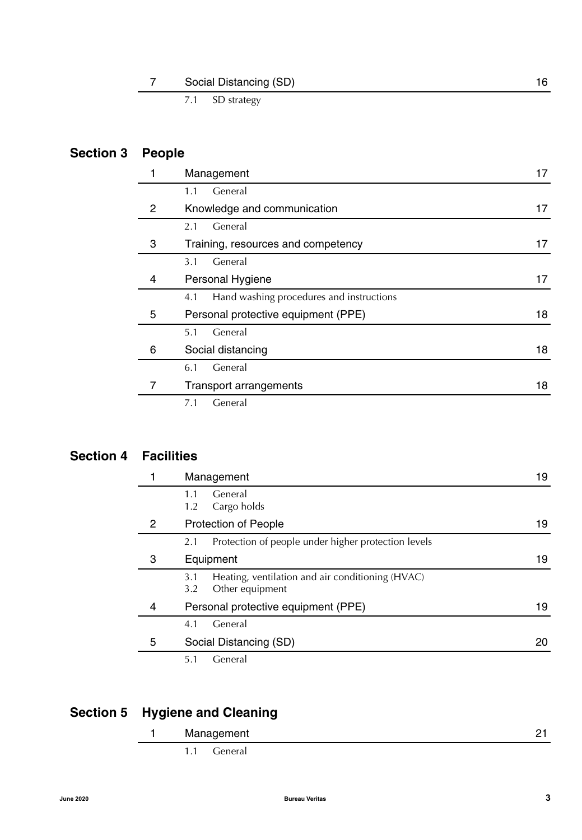| Social Distancing (SD) |  |
|------------------------|--|
| $CD_{\ell}$ +rotogy    |  |

[7.1 SD strategy](#page-17-5)

# **[S](#page-18-0)ection 3 People**

|   | Management                                      |    |  |
|---|-------------------------------------------------|----|--|
|   | General<br>1.1                                  |    |  |
| 2 | Knowledge and communication                     | 17 |  |
|   | General<br>2.1                                  |    |  |
| 3 | Training, resources and competency              | 17 |  |
|   | 3.1<br>General                                  |    |  |
| 4 | Personal Hygiene                                | 17 |  |
|   | Hand washing procedures and instructions<br>4.1 |    |  |
| 5 | Personal protective equipment (PPE)             | 18 |  |
|   | General<br>5.1                                  |    |  |
| 6 | Social distancing                               | 18 |  |
|   | 6.1<br>General                                  |    |  |
|   | <b>Transport arrangements</b>                   | 18 |  |
|   | General<br>7.1                                  |    |  |

# **[S](#page-20-0)ection 4 Facilities**

|   | Management                                                                        |    |
|---|-----------------------------------------------------------------------------------|----|
|   | General<br>1.1<br>Cargo holds<br>1.2                                              |    |
| 2 | <b>Protection of People</b>                                                       | 19 |
|   | Protection of people under higher protection levels<br>2.1                        |    |
| 3 | Equipment                                                                         | 19 |
|   | Heating, ventilation and air conditioning (HVAC)<br>3.1<br>Other equipment<br>3.2 |    |
| 4 | Personal protective equipment (PPE)                                               | 19 |
|   | General<br>4.1                                                                    |    |
| 5 | Social Distancing (SD)                                                            | 20 |
|   | General<br>5.1                                                                    |    |

# **[S](#page-22-0)ection 5 Hygiene and Cleaning**

| Management  |  |  |
|-------------|--|--|
| 1.1 General |  |  |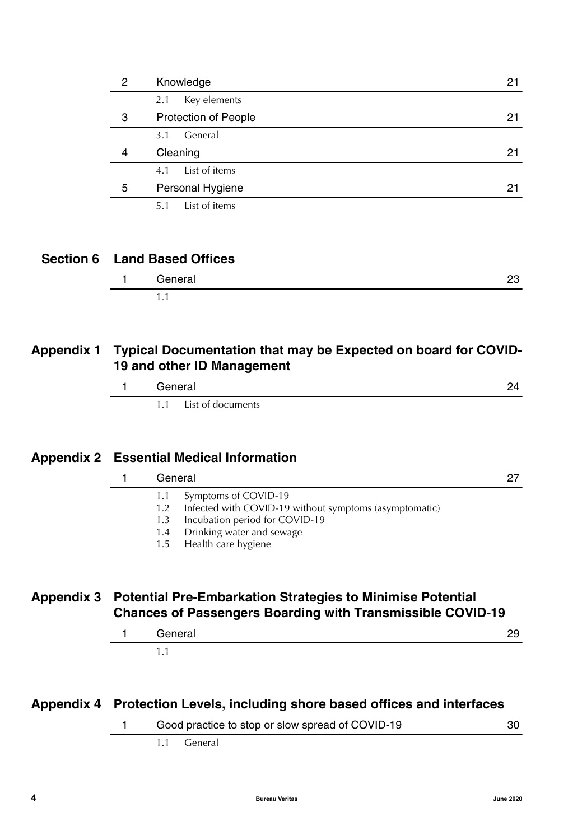| 2 | Knowledge                   |    |
|---|-----------------------------|----|
|   | Key elements<br>2.1         |    |
| 3 | <b>Protection of People</b> | 21 |
|   | General<br>3.1              |    |
| 4 | Cleaning                    | 21 |
|   | List of items<br>4.1        |    |
| 5 | Personal Hygiene            | 21 |
|   | List of items<br>5.1        |    |

# **Section 6 Land Based Offices**

| General | -- |
|---------|----|
| . .     |    |

# **Appendix 1 Typical Documentation that may be Expected on board for COVID-19 and other ID Management**

| General               |  |
|-----------------------|--|
| 1.1 List of documents |  |

# **Appendix 2 Essential Medical Information**

|            | General                                                                                                                                                                                          | 27 |
|------------|--------------------------------------------------------------------------------------------------------------------------------------------------------------------------------------------------|----|
|            | Symptoms of COVID-19<br>Infected with COVID-19 without symptoms (asymptomatic)<br>1.2<br>Incubation period for COVID-19<br>1.3<br>Drinking water and sewage<br>1.4<br>Health care hygiene<br>1.5 |    |
| Appendix 3 | <b>Potential Pre-Embarkation Strategies to Minimise Potential</b>                                                                                                                                |    |

# **Chances of Passengers Boarding with Transmissible COVID-19**

| General |  |
|---------|--|
| .       |  |

# **Appendix 4 Protection Levels, including shore based offices and interfaces**

| Good practice to stop or slow spread of COVID-19 |  |
|--------------------------------------------------|--|
|                                                  |  |

[1.1 General](#page-31-1)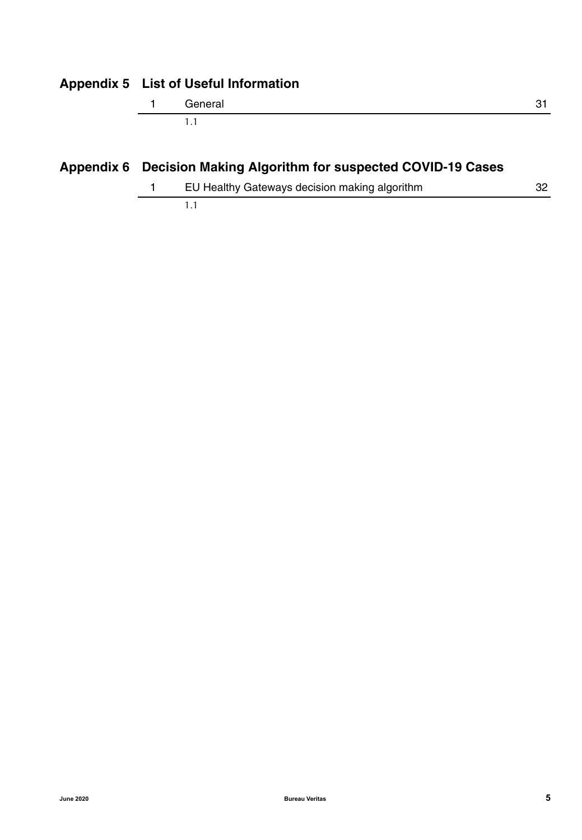# **Appendix 5 List of Useful Information**

| General |  |
|---------|--|
|         |  |

# **Appendix 6 Decision Making Algorithm for suspected COVID-19 Cases**

[1](#page-33-0) EU Healthy Gateways decision making algorithm 32 [1.1](#page-33-1)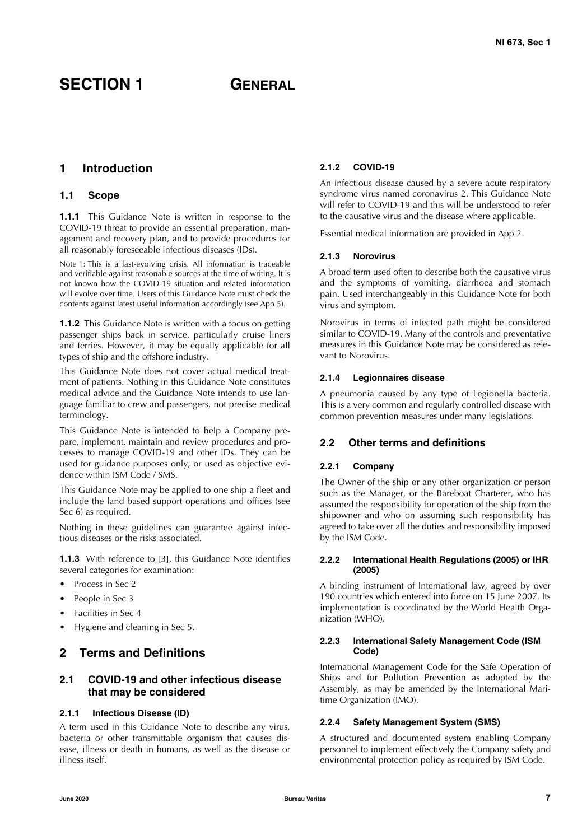# <span id="page-8-0"></span>**SECTION 1 GENERAL**

# <span id="page-8-1"></span>**1 Introduction**

### <span id="page-8-2"></span>**1.1 Scope**

**1.1.1** This Guidance Note is written in response to the COVID-19 threat to provide an essential preparation, management and recovery plan, and to provide procedures for all reasonably foreseeable infectious diseases (IDs).

Note 1: This is a fast-evolving crisis. All information is traceable and verifiable against reasonable sources at the time of writing. It is not known how the COVID-19 situation and related information will evolve over time. Users of this Guidance Note must check the contents against latest useful information accordingly (see App 5).

**1.1.2** This Guidance Note is written with a focus on getting passenger ships back in service, particularly cruise liners and ferries. However, it may be equally applicable for all types of ship and the offshore industry.

This Guidance Note does not cover actual medical treatment of patients. Nothing in this Guidance Note constitutes medical advice and the Guidance Note intends to use language familiar to crew and passengers, not precise medical terminology.

This Guidance Note is intended to help a Company prepare, implement, maintain and review procedures and processes to manage COVID-19 and other IDs. They can be used for guidance purposes only, or used as objective evidence within ISM Code / SMS.

This Guidance Note may be applied to one ship a fleet and include the land based support operations and offices (see Sec 6) as required.

Nothing in these guidelines can guarantee against infectious diseases or the risks associated.

**1.1.3** With reference to [3], this Guidance Note identifies several categories for examination:

- Process in Sec 2
- People in Sec 3
- Facilities in Sec 4
- Hygiene and cleaning in Sec 5.

# <span id="page-8-3"></span>**2 Terms and Definitions**

## <span id="page-8-4"></span>**2.1 COVID-19 and other infectious disease that may be considered**

#### **2.1.1 Infectious Disease (ID)**

A term used in this Guidance Note to describe any virus, bacteria or other transmittable organism that causes disease, illness or death in humans, as well as the disease or illness itself.

### **2.1.2 COVID-19**

An infectious disease caused by a severe acute respiratory syndrome virus named coronavirus 2. This Guidance Note will refer to COVID-19 and this will be understood to refer to the causative virus and the disease where applicable.

Essential medical information are provided in App 2.

#### **2.1.3 Norovirus**

A broad term used often to describe both the causative virus and the symptoms of vomiting, diarrhoea and stomach pain. Used interchangeably in this Guidance Note for both virus and symptom.

Norovirus in terms of infected path might be considered similar to COVID-19. Many of the controls and preventative measures in this Guidance Note may be considered as relevant to Norovirus.

#### **2.1.4 Legionnaires disease**

A pneumonia caused by any type of Legionella bacteria. This is a very common and regularly controlled disease with common prevention measures under many legislations.

### <span id="page-8-5"></span>**2.2 Other terms and definitions**

#### **2.2.1 Company**

The Owner of the ship or any other organization or person such as the Manager, or the Bareboat Charterer, who has assumed the responsibility for operation of the ship from the shipowner and who on assuming such responsibility has agreed to take over all the duties and responsibility imposed by the ISM Code.

#### **2.2.2 International Health Regulations (2005) or IHR (2005)**

A binding instrument of International law, agreed by over 190 countries which entered into force on 15 June 2007. Its implementation is coordinated by the World Health Organization (WHO).

#### **2.2.3 International Safety Management Code (ISM Code)**

International Management Code for the Safe Operation of Ships and for Pollution Prevention as adopted by the Assembly, as may be amended by the International Maritime Organization (IMO).

#### **2.2.4 Safety Management System (SMS)**

A structured and documented system enabling Company personnel to implement effectively the Company safety and environmental protection policy as required by ISM Code.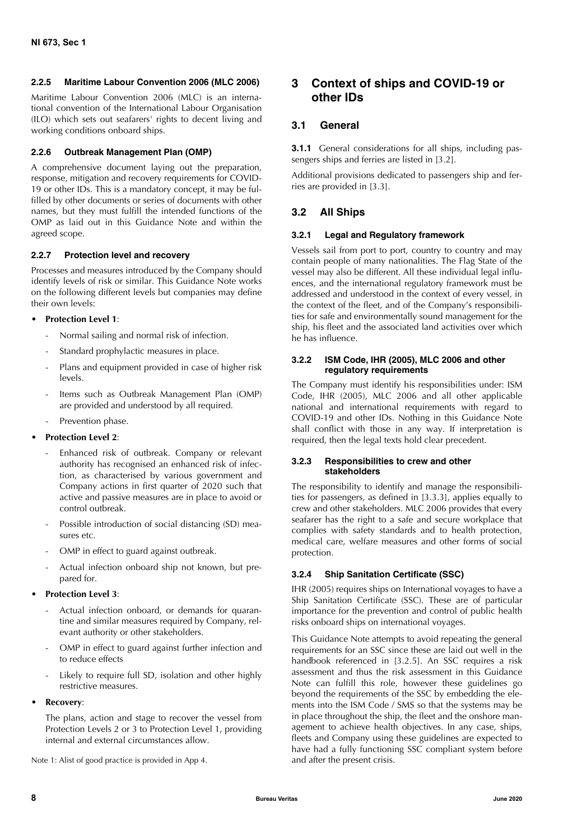#### **2.2.5 Maritime Labour Convention 2006 (MLC 2006)**

Maritime Labour Convention 2006 (MLC) is an international convention of the International Labour Organisation (ILO) which sets out seafarers' rights to decent living and working conditions onboard ships.

#### **2.2.6 Outbreak Management Plan (OMP)**

A comprehensive document laying out the preparation, response, mitigation and recovery requirements for COVID-19 or other IDs. This is a mandatory concept, it may be fulfilled by other documents or series of documents with other names, but they must fulfill the intended functions of the OMP as laid out in this Guidance Note and within the agreed scope.

#### **2.2.7 Protection level and recovery**

Processes and measures introduced by the Company should identify levels of risk or similar. This Guidance Note works on the following different levels but companies may define their own levels:

#### • **Protection Level 1**:

- Normal sailing and normal risk of infection.
- Standard prophylactic measures in place.
- Plans and equipment provided in case of higher risk levels.
- Items such as Outbreak Management Plan (OMP) are provided and understood by all required.
- Prevention phase.

#### • **Protection Level 2**:

- Enhanced risk of outbreak. Company or relevant authority has recognised an enhanced risk of infection, as characterised by various government and Company actions in first quarter of 2020 such that active and passive measures are in place to avoid or control outbreak.
- Possible introduction of social distancing (SD) measures etc.
- OMP in effect to guard against outbreak.
- Actual infection onboard ship not known, but prepared for.
- **Protection Level 3**:
	- Actual infection onboard, or demands for quarantine and similar measures required by Company, relevant authority or other stakeholders.
	- OMP in effect to guard against further infection and to reduce effects
	- Likely to require full SD, isolation and other highly restrictive measures.
- **Recovery**:

The plans, action and stage to recover the vessel from Protection Levels 2 or 3 to Protection Level 1, providing internal and external circumstances allow.

Note 1: Alist of good practice is provided in App 4.

# <span id="page-9-0"></span>**3 Context of ships and COVID-19 or other IDs**

## <span id="page-9-1"></span>**3.1 General**

**3.1.1** General considerations for all ships, including passengers ships and ferries are listed in [3.2].

Additional provisions dedicated to passengers ship and ferries are provided in [3.3].

# <span id="page-9-2"></span>**3.2 All Ships**

#### **3.2.1 Legal and Regulatory framework**

Vessels sail from port to port, country to country and may contain people of many nationalities. The Flag State of the vessel may also be different. All these individual legal influences, and the international regulatory framework must be addressed and understood in the context of every vessel, in the context of the fleet, and of the Company's responsibilities for safe and environmentally sound management for the ship, his fleet and the associated land activities over which he has influence.

#### **3.2.2 ISM Code, IHR (2005), MLC 2006 and other regulatory requirements**

The Company must identify his responsibilities under: ISM Code, IHR (2005), MLC 2006 and all other applicable national and international requirements with regard to COVID-19 and other IDs. Nothing in this Guidance Note shall conflict with those in any way. If interpretation is required, then the legal texts hold clear precedent.

#### **3.2.3 Responsibilities to crew and other stakeholders**

The responsibility to identify and manage the responsibilities for passengers, as defined in [3.3.3], applies equally to crew and other stakeholders. MLC 2006 provides that every seafarer has the right to a safe and secure workplace that complies with safety standards and to health protection, medical care, welfare measures and other forms of social protection.

#### **3.2.4 Ship Sanitation Certificate (SSC)**

IHR (2005) requires ships on International voyages to have a Ship Sanitation Certificate (SSC). These are of particular importance for the prevention and control of public health risks onboard ships on international voyages.

This Guidance Note attempts to avoid repeating the general requirements for an SSC since these are laid out well in the handbook referenced in [3.2.5]. An SSC requires a risk assessment and thus the risk assessment in this Guidance Note can fulfill this role, however these guidelines go beyond the requirements of the SSC by embedding the elements into the ISM Code / SMS so that the systems may be in place throughout the ship, the fleet and the onshore management to achieve health objectives. In any case, ships, fleets and Company using these guidelines are expected to have had a fully functioning SSC compliant system before and after the present crisis.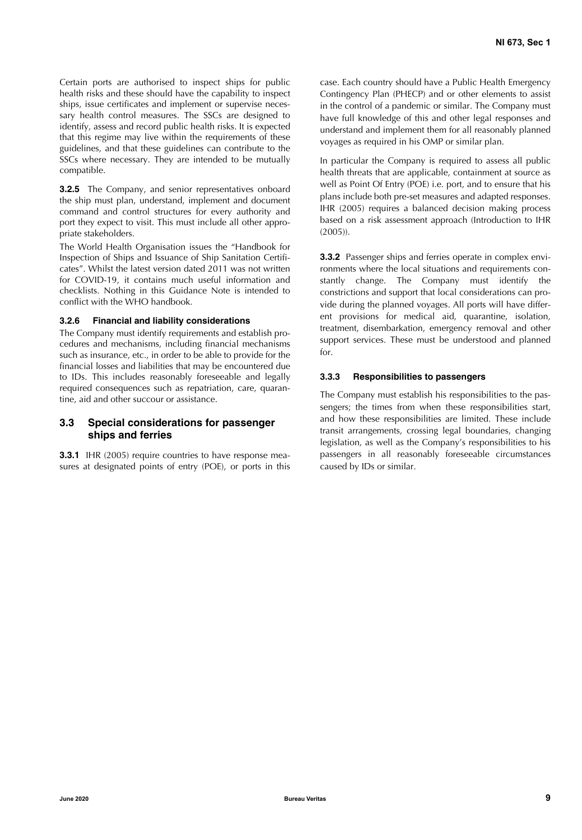Certain ports are authorised to inspect ships for public health risks and these should have the capability to inspect ships, issue certificates and implement or supervise necessary health control measures. The SSCs are designed to identify, assess and record public health risks. It is expected that this regime may live within the requirements of these guidelines, and that these guidelines can contribute to the SSCs where necessary. They are intended to be mutually compatible.

**3.2.5** The Company, and senior representatives onboard the ship must plan, understand, implement and document command and control structures for every authority and port they expect to visit. This must include all other appropriate stakeholders.

The World Health Organisation issues the "Handbook for Inspection of Ships and Issuance of Ship Sanitation Certificates". Whilst the latest version dated 2011 was not written for COVID-19, it contains much useful information and checklists. Nothing in this Guidance Note is intended to conflict with the WHO handbook.

#### **3.2.6 Financial and liability considerations**

The Company must identify requirements and establish procedures and mechanisms, including financial mechanisms such as insurance, etc., in order to be able to provide for the financial losses and liabilities that may be encountered due to IDs. This includes reasonably foreseeable and legally required consequences such as repatriation, care, quarantine, aid and other succour or assistance.

### <span id="page-10-0"></span>**3.3 Special considerations for passenger ships and ferries**

**3.3.1** IHR (2005) require countries to have response measures at designated points of entry (POE), or ports in this case. Each country should have a Public Health Emergency Contingency Plan (PHECP) and or other elements to assist in the control of a pandemic or similar. The Company must have full knowledge of this and other legal responses and understand and implement them for all reasonably planned voyages as required in his OMP or similar plan.

In particular the Company is required to assess all public health threats that are applicable, containment at source as well as Point Of Entry (POE) i.e. port, and to ensure that his plans include both pre-set measures and adapted responses. IHR (2005) requires a balanced decision making process based on a risk assessment approach (Introduction to IHR (2005)).

**3.3.2** Passenger ships and ferries operate in complex environments where the local situations and requirements constantly change. The Company must identify the constrictions and support that local considerations can provide during the planned voyages. All ports will have different provisions for medical aid, quarantine, isolation, treatment, disembarkation, emergency removal and other support services. These must be understood and planned for.

#### **3.3.3 Responsibilities to passengers**

The Company must establish his responsibilities to the passengers; the times from when these responsibilities start, and how these responsibilities are limited. These include transit arrangements, crossing legal boundaries, changing legislation, as well as the Company's responsibilities to his passengers in all reasonably foreseeable circumstances caused by IDs or similar.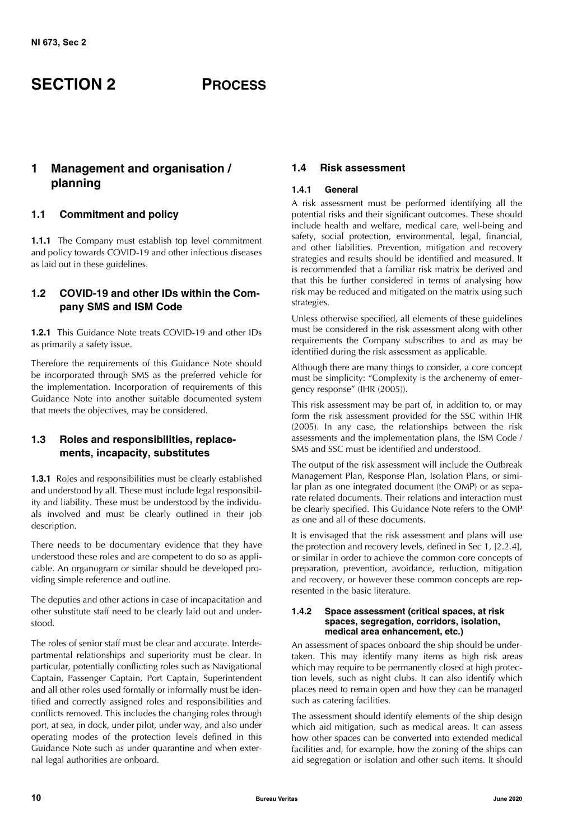# <span id="page-11-0"></span>**SECTION 2 PROCESS**

# <span id="page-11-1"></span>**1 Management and organisation / planning**

# <span id="page-11-2"></span>**1.1 Commitment and policy**

**1.1.1** The Company must establish top level commitment and policy towards COVID-19 and other infectious diseases as laid out in these guidelines.

# <span id="page-11-3"></span>**1.2 COVID-19 and other IDs within the Company SMS and ISM Code**

**1.2.1** This Guidance Note treats COVID-19 and other IDs as primarily a safety issue.

Therefore the requirements of this Guidance Note should be incorporated through SMS as the preferred vehicle for the implementation. Incorporation of requirements of this Guidance Note into another suitable documented system that meets the objectives, may be considered.

## <span id="page-11-4"></span>**1.3 Roles and responsibilities, replacements, incapacity, substitutes**

**1.3.1** Roles and responsibilities must be clearly established and understood by all. These must include legal responsibility and liability. These must be understood by the individuals involved and must be clearly outlined in their job description.

There needs to be documentary evidence that they have understood these roles and are competent to do so as applicable. An organogram or similar should be developed providing simple reference and outline.

The deputies and other actions in case of incapacitation and other substitute staff need to be clearly laid out and understood.

The roles of senior staff must be clear and accurate. Interdepartmental relationships and superiority must be clear. In particular, potentially conflicting roles such as Navigational Captain, Passenger Captain, Port Captain, Superintendent and all other roles used formally or informally must be identified and correctly assigned roles and responsibilities and conflicts removed. This includes the changing roles through port, at sea, in dock, under pilot, under way, and also under operating modes of the protection levels defined in this Guidance Note such as under quarantine and when external legal authorities are onboard.

# <span id="page-11-5"></span>**1.4 Risk assessment**

## **1.4.1 General**

A risk assessment must be performed identifying all the potential risks and their significant outcomes. These should include health and welfare, medical care, well-being and safety, social protection, environmental, legal, financial, and other liabilities. Prevention, mitigation and recovery strategies and results should be identified and measured. It is recommended that a familiar risk matrix be derived and that this be further considered in terms of analysing how risk may be reduced and mitigated on the matrix using such strategies.

Unless otherwise specified, all elements of these guidelines must be considered in the risk assessment along with other requirements the Company subscribes to and as may be identified during the risk assessment as applicable.

Although there are many things to consider, a core concept must be simplicity: "Complexity is the archenemy of emergency response" (IHR (2005)).

This risk assessment may be part of, in addition to, or may form the risk assessment provided for the SSC within IHR (2005). In any case, the relationships between the risk assessments and the implementation plans, the ISM Code / SMS and SSC must be identified and understood.

The output of the risk assessment will include the Outbreak Management Plan, Response Plan, Isolation Plans, or similar plan as one integrated document (the OMP) or as separate related documents. Their relations and interaction must be clearly specified. This Guidance Note refers to the OMP as one and all of these documents.

It is envisaged that the risk assessment and plans will use the protection and recovery levels, defined in Sec 1, [2.2.4], or similar in order to achieve the common core concepts of preparation, prevention, avoidance, reduction, mitigation and recovery, or however these common concepts are represented in the basic literature.

#### **1.4.2 Space assessment (critical spaces, at risk spaces, segregation, corridors, isolation, medical area enhancement, etc.)**

An assessment of spaces onboard the ship should be undertaken. This may identify many items as high risk areas which may require to be permanently closed at high protection levels, such as night clubs. It can also identify which places need to remain open and how they can be managed such as catering facilities.

The assessment should identify elements of the ship design which aid mitigation, such as medical areas. It can assess how other spaces can be converted into extended medical facilities and, for example, how the zoning of the ships can aid segregation or isolation and other such items. It should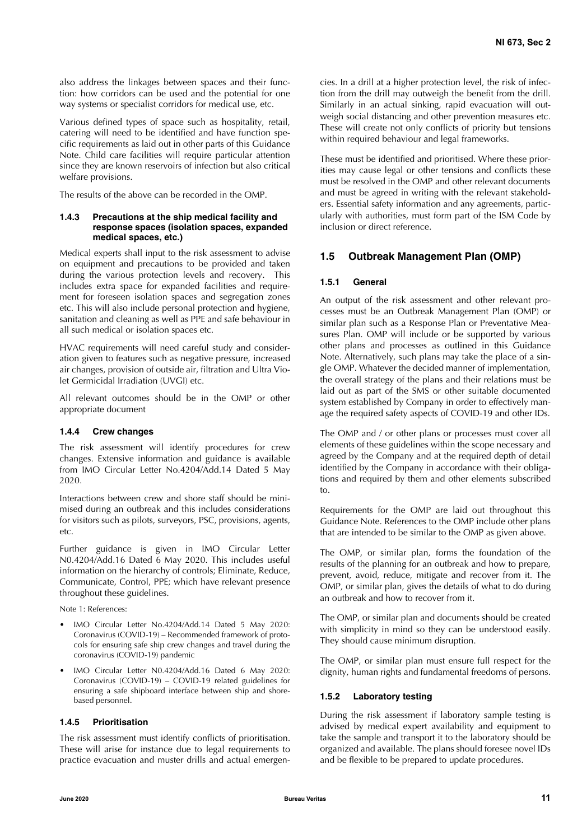also address the linkages between spaces and their function: how corridors can be used and the potential for one way systems or specialist corridors for medical use, etc.

Various defined types of space such as hospitality, retail, catering will need to be identified and have function specific requirements as laid out in other parts of this Guidance Note. Child care facilities will require particular attention since they are known reservoirs of infection but also critical welfare provisions.

The results of the above can be recorded in the OMP.

#### **1.4.3 Precautions at the ship medical facility and response spaces (isolation spaces, expanded medical spaces, etc.)**

Medical experts shall input to the risk assessment to advise on equipment and precautions to be provided and taken during the various protection levels and recovery. This includes extra space for expanded facilities and requirement for foreseen isolation spaces and segregation zones etc. This will also include personal protection and hygiene, sanitation and cleaning as well as PPE and safe behaviour in all such medical or isolation spaces etc.

HVAC requirements will need careful study and consideration given to features such as negative pressure, increased air changes, provision of outside air, filtration and Ultra Violet Germicidal Irradiation (UVGI) etc.

All relevant outcomes should be in the OMP or other appropriate document

#### **1.4.4 Crew changes**

The risk assessment will identify procedures for crew changes. Extensive information and guidance is available from IMO Circular Letter No.4204/Add.14 Dated 5 May 2020.

Interactions between crew and shore staff should be minimised during an outbreak and this includes considerations for visitors such as pilots, surveyors, PSC, provisions, agents, etc.

Further guidance is given in IMO Circular Letter N0.4204/Add.16 Dated 6 May 2020. This includes useful information on the hierarchy of controls; Eliminate, Reduce, Communicate, Control, PPE; which have relevant presence throughout these guidelines.

Note 1: References:

- IMO Circular Letter No.4204/Add.14 Dated 5 May 2020: Coronavirus (COVID-19) – Recommended framework of protocols for ensuring safe ship crew changes and travel during the coronavirus (COVID-19) pandemic
- IMO Circular Letter N0.4204/Add.16 Dated 6 May 2020: Coronavirus (COVID-19) – COVID-19 related guidelines for ensuring a safe shipboard interface between ship and shorebased personnel.

### **1.4.5 Prioritisation**

The risk assessment must identify conflicts of prioritisation. These will arise for instance due to legal requirements to practice evacuation and muster drills and actual emergencies. In a drill at a higher protection level, the risk of infection from the drill may outweigh the benefit from the drill. Similarly in an actual sinking, rapid evacuation will outweigh social distancing and other prevention measures etc. These will create not only conflicts of priority but tensions within required behaviour and legal frameworks.

These must be identified and prioritised. Where these priorities may cause legal or other tensions and conflicts these must be resolved in the OMP and other relevant documents and must be agreed in writing with the relevant stakeholders. Essential safety information and any agreements, particularly with authorities, must form part of the ISM Code by inclusion or direct reference.

#### <span id="page-12-0"></span>**1.5 Outbreak Management Plan (OMP)**

#### **1.5.1 General**

An output of the risk assessment and other relevant processes must be an Outbreak Management Plan (OMP) or similar plan such as a Response Plan or Preventative Measures Plan. OMP will include or be supported by various other plans and processes as outlined in this Guidance Note. Alternatively, such plans may take the place of a single OMP. Whatever the decided manner of implementation, the overall strategy of the plans and their relations must be laid out as part of the SMS or other suitable documented system established by Company in order to effectively manage the required safety aspects of COVID-19 and other IDs.

The OMP and / or other plans or processes must cover all elements of these guidelines within the scope necessary and agreed by the Company and at the required depth of detail identified by the Company in accordance with their obligations and required by them and other elements subscribed to.

Requirements for the OMP are laid out throughout this Guidance Note. References to the OMP include other plans that are intended to be similar to the OMP as given above.

The OMP, or similar plan, forms the foundation of the results of the planning for an outbreak and how to prepare, prevent, avoid, reduce, mitigate and recover from it. The OMP, or similar plan, gives the details of what to do during an outbreak and how to recover from it.

The OMP, or similar plan and documents should be created with simplicity in mind so they can be understood easily. They should cause minimum disruption.

The OMP, or similar plan must ensure full respect for the dignity, human rights and fundamental freedoms of persons.

#### **1.5.2 Laboratory testing**

During the risk assessment if laboratory sample testing is advised by medical expert availability and equipment to take the sample and transport it to the laboratory should be organized and available. The plans should foresee novel IDs and be flexible to be prepared to update procedures.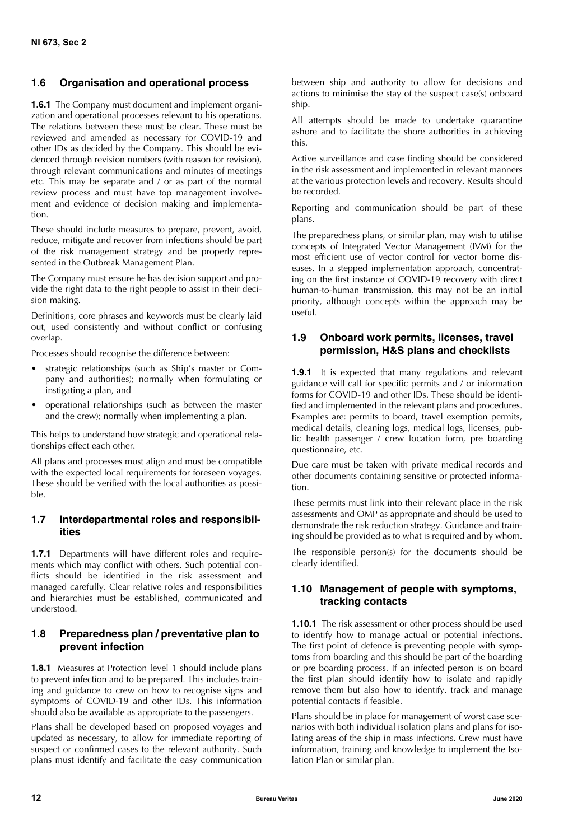### <span id="page-13-0"></span>**1.6 Organisation and operational process**

**1.6.1** The Company must document and implement organization and operational processes relevant to his operations. The relations between these must be clear. These must be reviewed and amended as necessary for COVID-19 and other IDs as decided by the Company. This should be evidenced through revision numbers (with reason for revision), through relevant communications and minutes of meetings etc. This may be separate and / or as part of the normal review process and must have top management involvement and evidence of decision making and implementation.

These should include measures to prepare, prevent, avoid, reduce, mitigate and recover from infections should be part of the risk management strategy and be properly represented in the Outbreak Management Plan.

The Company must ensure he has decision support and provide the right data to the right people to assist in their decision making.

Definitions, core phrases and keywords must be clearly laid out, used consistently and without conflict or confusing overlap.

Processes should recognise the difference between:

- strategic relationships (such as Ship's master or Company and authorities); normally when formulating or instigating a plan, and
- operational relationships (such as between the master and the crew); normally when implementing a plan.

This helps to understand how strategic and operational relationships effect each other.

All plans and processes must align and must be compatible with the expected local requirements for foreseen voyages. These should be verified with the local authorities as possible.

## <span id="page-13-1"></span>**1.7 Interdepartmental roles and responsibilities**

**1.7.1** Departments will have different roles and requirements which may conflict with others. Such potential conflicts should be identified in the risk assessment and managed carefully. Clear relative roles and responsibilities and hierarchies must be established, communicated and understood.

#### <span id="page-13-2"></span>**1.8 Preparedness plan / preventative plan to prevent infection**

**1.8.1** Measures at Protection level 1 should include plans to prevent infection and to be prepared. This includes training and guidance to crew on how to recognise signs and symptoms of COVID-19 and other IDs. This information should also be available as appropriate to the passengers.

Plans shall be developed based on proposed voyages and updated as necessary, to allow for immediate reporting of suspect or confirmed cases to the relevant authority. Such plans must identify and facilitate the easy communication between ship and authority to allow for decisions and actions to minimise the stay of the suspect case(s) onboard ship.

All attempts should be made to undertake quarantine ashore and to facilitate the shore authorities in achieving this.

Active surveillance and case finding should be considered in the risk assessment and implemented in relevant manners at the various protection levels and recovery. Results should be recorded.

Reporting and communication should be part of these plans.

The preparedness plans, or similar plan, may wish to utilise concepts of Integrated Vector Management (IVM) for the most efficient use of vector control for vector borne diseases. In a stepped implementation approach, concentrating on the first instance of COVID-19 recovery with direct human-to-human transmission, this may not be an initial priority, although concepts within the approach may be useful.

## <span id="page-13-3"></span>**1.9 Onboard work permits, licenses, travel permission, H&S plans and checklists**

**1.9.1** It is expected that many regulations and relevant guidance will call for specific permits and / or information forms for COVID-19 and other IDs. These should be identified and implemented in the relevant plans and procedures. Examples are: permits to board, travel exemption permits, medical details, cleaning logs, medical logs, licenses, public health passenger / crew location form, pre boarding questionnaire, etc.

Due care must be taken with private medical records and other documents containing sensitive or protected information.

These permits must link into their relevant place in the risk assessments and OMP as appropriate and should be used to demonstrate the risk reduction strategy. Guidance and training should be provided as to what is required and by whom.

The responsible person(s) for the documents should be clearly identified.

## <span id="page-13-4"></span>**1.10 Management of people with symptoms, tracking contacts**

**1.10.1** The risk assessment or other process should be used to identify how to manage actual or potential infections. The first point of defence is preventing people with symptoms from boarding and this should be part of the boarding or pre boarding process. If an infected person is on board the first plan should identify how to isolate and rapidly remove them but also how to identify, track and manage potential contacts if feasible.

Plans should be in place for management of worst case scenarios with both individual isolation plans and plans for isolating areas of the ship in mass infections. Crew must have information, training and knowledge to implement the Isolation Plan or similar plan.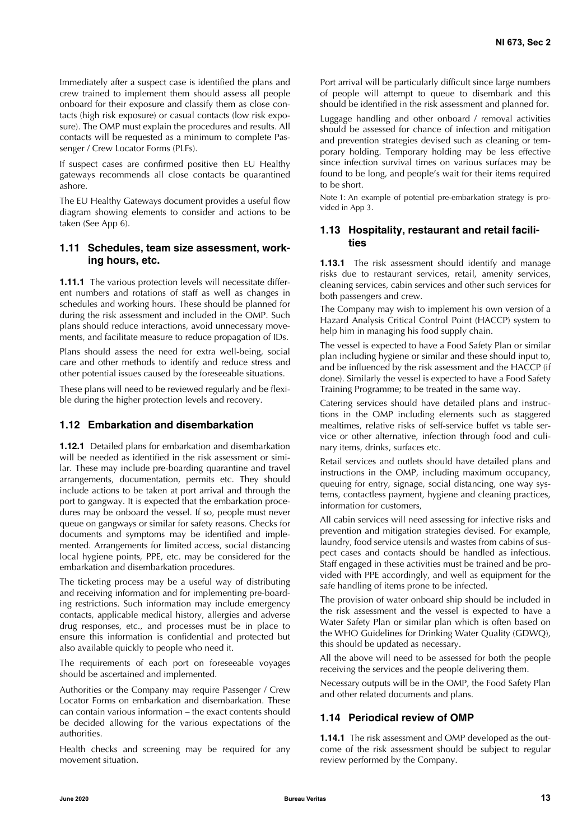Immediately after a suspect case is identified the plans and crew trained to implement them should assess all people onboard for their exposure and classify them as close contacts (high risk exposure) or casual contacts (low risk exposure). The OMP must explain the procedures and results. All contacts will be requested as a minimum to complete Passenger / Crew Locator Forms (PLFs).

If suspect cases are confirmed positive then EU Healthy gateways recommends all close contacts be quarantined ashore.

The EU Healthy Gateways document provides a useful flow diagram showing elements to consider and actions to be taken (See App 6).

### <span id="page-14-0"></span>**1.11 Schedules, team size assessment, working hours, etc.**

**1.11.1** The various protection levels will necessitate different numbers and rotations of staff as well as changes in schedules and working hours. These should be planned for during the risk assessment and included in the OMP. Such plans should reduce interactions, avoid unnecessary movements, and facilitate measure to reduce propagation of IDs.

Plans should assess the need for extra well-being, social care and other methods to identify and reduce stress and other potential issues caused by the foreseeable situations.

These plans will need to be reviewed regularly and be flexible during the higher protection levels and recovery.

#### <span id="page-14-1"></span>**1.12 Embarkation and disembarkation**

**1.12.1** Detailed plans for embarkation and disembarkation will be needed as identified in the risk assessment or similar. These may include pre-boarding quarantine and travel arrangements, documentation, permits etc. They should include actions to be taken at port arrival and through the port to gangway. It is expected that the embarkation procedures may be onboard the vessel. If so, people must never queue on gangways or similar for safety reasons. Checks for documents and symptoms may be identified and implemented. Arrangements for limited access, social distancing local hygiene points, PPE, etc. may be considered for the embarkation and disembarkation procedures.

The ticketing process may be a useful way of distributing and receiving information and for implementing pre-boarding restrictions. Such information may include emergency contacts, applicable medical history, allergies and adverse drug responses, etc., and processes must be in place to ensure this information is confidential and protected but also available quickly to people who need it.

The requirements of each port on foreseeable voyages should be ascertained and implemented.

Authorities or the Company may require Passenger / Crew Locator Forms on embarkation and disembarkation. These can contain various information – the exact contents should be decided allowing for the various expectations of the authorities.

Health checks and screening may be required for any movement situation.

Port arrival will be particularly difficult since large numbers of people will attempt to queue to disembark and this should be identified in the risk assessment and planned for.

Luggage handling and other onboard / removal activities should be assessed for chance of infection and mitigation and prevention strategies devised such as cleaning or temporary holding. Temporary holding may be less effective since infection survival times on various surfaces may be found to be long, and people's wait for their items required to be short.

Note 1: An example of potential pre-embarkation strategy is provided in App 3.

#### <span id="page-14-2"></span>**1.13 Hospitality, restaurant and retail facilities**

**1.13.1** The risk assessment should identify and manage risks due to restaurant services, retail, amenity services, cleaning services, cabin services and other such services for both passengers and crew.

The Company may wish to implement his own version of a Hazard Analysis Critical Control Point (HACCP) system to help him in managing his food supply chain.

The vessel is expected to have a Food Safety Plan or similar plan including hygiene or similar and these should input to, and be influenced by the risk assessment and the HACCP (if done). Similarly the vessel is expected to have a Food Safety Training Programme; to be treated in the same way.

Catering services should have detailed plans and instructions in the OMP including elements such as staggered mealtimes, relative risks of self-service buffet vs table service or other alternative, infection through food and culinary items, drinks, surfaces etc.

Retail services and outlets should have detailed plans and instructions in the OMP, including maximum occupancy, queuing for entry, signage, social distancing, one way systems, contactless payment, hygiene and cleaning practices, information for customers,

All cabin services will need assessing for infective risks and prevention and mitigation strategies devised. For example, laundry, food service utensils and wastes from cabins of suspect cases and contacts should be handled as infectious. Staff engaged in these activities must be trained and be provided with PPE accordingly, and well as equipment for the safe handling of items prone to be infected.

The provision of water onboard ship should be included in the risk assessment and the vessel is expected to have a Water Safety Plan or similar plan which is often based on the WHO Guidelines for Drinking Water Quality (GDWQ), this should be updated as necessary.

All the above will need to be assessed for both the people receiving the services and the people delivering them.

Necessary outputs will be in the OMP, the Food Safety Plan and other related documents and plans.

#### <span id="page-14-3"></span>**1.14 Periodical review of OMP**

**1.14.1** The risk assessment and OMP developed as the outcome of the risk assessment should be subject to regular review performed by the Company.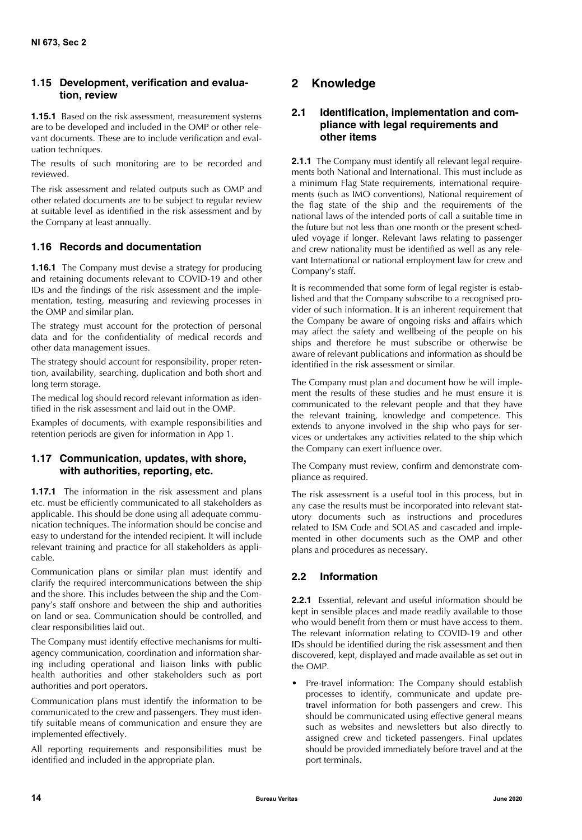# <span id="page-15-0"></span>**1.15 Development, verification and evaluation, review**

**1.15.1** Based on the risk assessment, measurement systems are to be developed and included in the OMP or other relevant documents. These are to include verification and evaluation techniques.

The results of such monitoring are to be recorded and reviewed.

The risk assessment and related outputs such as OMP and other related documents are to be subject to regular review at suitable level as identified in the risk assessment and by the Company at least annually.

# <span id="page-15-1"></span>**1.16 Records and documentation**

**1.16.1** The Company must devise a strategy for producing and retaining documents relevant to COVID-19 and other IDs and the findings of the risk assessment and the implementation, testing, measuring and reviewing processes in the OMP and similar plan.

The strategy must account for the protection of personal data and for the confidentiality of medical records and other data management issues.

The strategy should account for responsibility, proper retention, availability, searching, duplication and both short and long term storage.

The medical log should record relevant information as identified in the risk assessment and laid out in the OMP.

Examples of documents, with example responsibilities and retention periods are given for information in App 1.

# <span id="page-15-2"></span>**1.17 Communication, updates, with shore, with authorities, reporting, etc.**

**1.17.1** The information in the risk assessment and plans etc. must be efficiently communicated to all stakeholders as applicable. This should be done using all adequate communication techniques. The information should be concise and easy to understand for the intended recipient. It will include relevant training and practice for all stakeholders as applicable.

Communication plans or similar plan must identify and clarify the required intercommunications between the ship and the shore. This includes between the ship and the Company's staff onshore and between the ship and authorities on land or sea. Communication should be controlled, and clear responsibilities laid out.

The Company must identify effective mechanisms for multiagency communication, coordination and information sharing including operational and liaison links with public health authorities and other stakeholders such as port authorities and port operators.

Communication plans must identify the information to be communicated to the crew and passengers. They must identify suitable means of communication and ensure they are implemented effectively.

All reporting requirements and responsibilities must be identified and included in the appropriate plan.

# <span id="page-15-3"></span>**2 Knowledge**

# <span id="page-15-4"></span>**2.1 Identification, implementation and compliance with legal requirements and other items**

**2.1.1** The Company must identify all relevant legal requirements both National and International. This must include as a minimum Flag State requirements, international requirements (such as IMO conventions), National requirement of the flag state of the ship and the requirements of the national laws of the intended ports of call a suitable time in the future but not less than one month or the present scheduled voyage if longer. Relevant laws relating to passenger and crew nationality must be identified as well as any relevant International or national employment law for crew and Company's staff.

It is recommended that some form of legal register is established and that the Company subscribe to a recognised provider of such information. It is an inherent requirement that the Company be aware of ongoing risks and affairs which may affect the safety and wellbeing of the people on his ships and therefore he must subscribe or otherwise be aware of relevant publications and information as should be identified in the risk assessment or similar.

The Company must plan and document how he will implement the results of these studies and he must ensure it is communicated to the relevant people and that they have the relevant training, knowledge and competence. This extends to anyone involved in the ship who pays for services or undertakes any activities related to the ship which the Company can exert influence over.

The Company must review, confirm and demonstrate compliance as required.

The risk assessment is a useful tool in this process, but in any case the results must be incorporated into relevant statutory documents such as instructions and procedures related to ISM Code and SOLAS and cascaded and implemented in other documents such as the OMP and other plans and procedures as necessary.

# <span id="page-15-5"></span>**2.2 Information**

**2.2.1** Essential, relevant and useful information should be kept in sensible places and made readily available to those who would benefit from them or must have access to them. The relevant information relating to COVID-19 and other IDs should be identified during the risk assessment and then discovered, kept, displayed and made available as set out in the OMP.

Pre-travel information: The Company should establish processes to identify, communicate and update pretravel information for both passengers and crew. This should be communicated using effective general means such as websites and newsletters but also directly to assigned crew and ticketed passengers. Final updates should be provided immediately before travel and at the port terminals.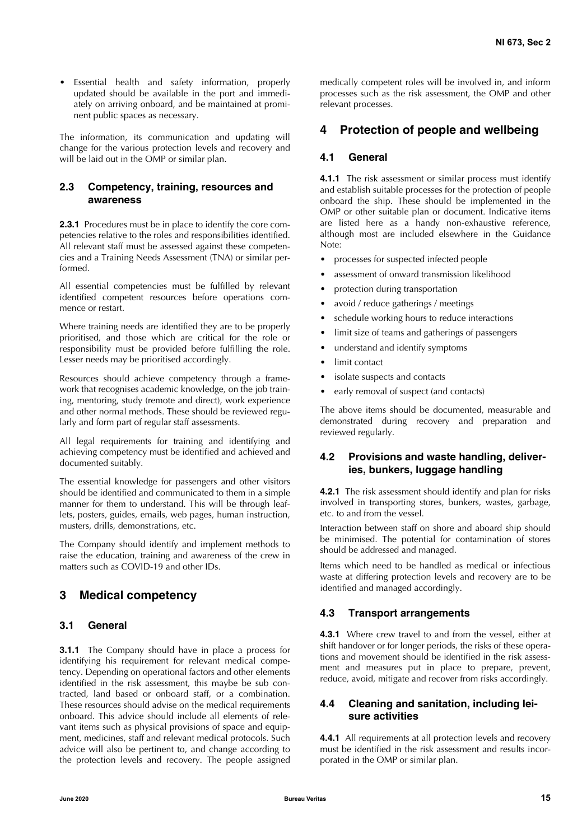• Essential health and safety information, properly updated should be available in the port and immediately on arriving onboard, and be maintained at prominent public spaces as necessary.

The information, its communication and updating will change for the various protection levels and recovery and will be laid out in the OMP or similar plan.

## <span id="page-16-0"></span>**2.3 Competency, training, resources and awareness**

**2.3.1** Procedures must be in place to identify the core competencies relative to the roles and responsibilities identified. All relevant staff must be assessed against these competencies and a Training Needs Assessment (TNA) or similar performed.

All essential competencies must be fulfilled by relevant identified competent resources before operations commence or restart.

Where training needs are identified they are to be properly prioritised, and those which are critical for the role or responsibility must be provided before fulfilling the role. Lesser needs may be prioritised accordingly.

Resources should achieve competency through a framework that recognises academic knowledge, on the job training, mentoring, study (remote and direct), work experience and other normal methods. These should be reviewed regularly and form part of regular staff assessments.

All legal requirements for training and identifying and achieving competency must be identified and achieved and documented suitably.

The essential knowledge for passengers and other visitors should be identified and communicated to them in a simple manner for them to understand. This will be through leaflets, posters, guides, emails, web pages, human instruction, musters, drills, demonstrations, etc.

The Company should identify and implement methods to raise the education, training and awareness of the crew in matters such as COVID-19 and other IDs.

# <span id="page-16-1"></span>**3 Medical competency**

## <span id="page-16-2"></span>**3.1 General**

**3.1.1** The Company should have in place a process for identifying his requirement for relevant medical competency. Depending on operational factors and other elements identified in the risk assessment, this maybe be sub contracted, land based or onboard staff, or a combination. These resources should advise on the medical requirements onboard. This advice should include all elements of relevant items such as physical provisions of space and equipment, medicines, staff and relevant medical protocols. Such advice will also be pertinent to, and change according to the protection levels and recovery. The people assigned medically competent roles will be involved in, and inform processes such as the risk assessment, the OMP and other relevant processes.

# <span id="page-16-3"></span>**4 Protection of people and wellbeing**

## <span id="page-16-4"></span>**4.1 General**

**4.1.1** The risk assessment or similar process must identify and establish suitable processes for the protection of people onboard the ship. These should be implemented in the OMP or other suitable plan or document. Indicative items are listed here as a handy non-exhaustive reference, although most are included elsewhere in the Guidance Note:

- processes for suspected infected people
- assessment of onward transmission likelihood
- protection during transportation
- avoid / reduce gatherings / meetings
- schedule working hours to reduce interactions
- limit size of teams and gatherings of passengers
- understand and identify symptoms
- limit contact
- isolate suspects and contacts
- early removal of suspect (and contacts)

The above items should be documented, measurable and demonstrated during recovery and preparation and reviewed regularly.

# <span id="page-16-5"></span>**4.2 Provisions and waste handling, deliveries, bunkers, luggage handling**

**4.2.1** The risk assessment should identify and plan for risks involved in transporting stores, bunkers, wastes, garbage, etc. to and from the vessel.

Interaction between staff on shore and aboard ship should be minimised. The potential for contamination of stores should be addressed and managed.

Items which need to be handled as medical or infectious waste at differing protection levels and recovery are to be identified and managed accordingly.

## <span id="page-16-6"></span>**4.3 Transport arrangements**

**4.3.1** Where crew travel to and from the vessel, either at shift handover or for longer periods, the risks of these operations and movement should be identified in the risk assessment and measures put in place to prepare, prevent, reduce, avoid, mitigate and recover from risks accordingly.

## <span id="page-16-7"></span>**4.4 Cleaning and sanitation, including leisure activities**

**4.4.1** All requirements at all protection levels and recovery must be identified in the risk assessment and results incorporated in the OMP or similar plan.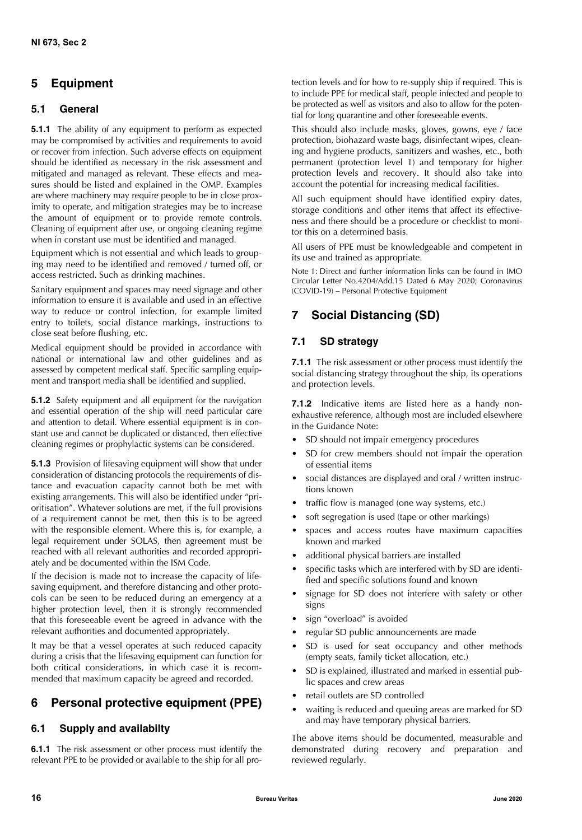# <span id="page-17-0"></span>**5 Equipment**

# <span id="page-17-1"></span>**5.1 General**

**5.1.1** The ability of any equipment to perform as expected may be compromised by activities and requirements to avoid or recover from infection. Such adverse effects on equipment should be identified as necessary in the risk assessment and mitigated and managed as relevant. These effects and measures should be listed and explained in the OMP. Examples are where machinery may require people to be in close proximity to operate, and mitigation strategies may be to increase the amount of equipment or to provide remote controls. Cleaning of equipment after use, or ongoing cleaning regime when in constant use must be identified and managed.

Equipment which is not essential and which leads to grouping may need to be identified and removed / turned off, or access restricted. Such as drinking machines.

Sanitary equipment and spaces may need signage and other information to ensure it is available and used in an effective way to reduce or control infection, for example limited entry to toilets, social distance markings, instructions to close seat before flushing, etc.

Medical equipment should be provided in accordance with national or international law and other guidelines and as assessed by competent medical staff. Specific sampling equipment and transport media shall be identified and supplied.

**5.1.2** Safety equipment and all equipment for the navigation and essential operation of the ship will need particular care and attention to detail. Where essential equipment is in constant use and cannot be duplicated or distanced, then effective cleaning regimes or prophylactic systems can be considered.

**5.1.3** Provision of lifesaving equipment will show that under consideration of distancing protocols the requirements of distance and evacuation capacity cannot both be met with existing arrangements. This will also be identified under "prioritisation". Whatever solutions are met, if the full provisions of a requirement cannot be met, then this is to be agreed with the responsible element. Where this is, for example, a legal requirement under SOLAS, then agreement must be reached with all relevant authorities and recorded appropriately and be documented within the ISM Code.

If the decision is made not to increase the capacity of lifesaving equipment, and therefore distancing and other protocols can be seen to be reduced during an emergency at a higher protection level, then it is strongly recommended that this foreseeable event be agreed in advance with the relevant authorities and documented appropriately.

It may be that a vessel operates at such reduced capacity during a crisis that the lifesaving equipment can function for both critical considerations, in which case it is recommended that maximum capacity be agreed and recorded.

# <span id="page-17-2"></span>**6 Personal protective equipment (PPE)**

# <span id="page-17-3"></span>**6.1 Supply and availabilty**

**6.1.1** The risk assessment or other process must identify the relevant PPE to be provided or available to the ship for all protection levels and for how to re-supply ship if required. This is to include PPE for medical staff, people infected and people to be protected as well as visitors and also to allow for the potential for long quarantine and other foreseeable events.

This should also include masks, gloves, gowns, eye / face protection, biohazard waste bags, disinfectant wipes, cleaning and hygiene products, sanitizers and washes, etc., both permanent (protection level 1) and temporary for higher protection levels and recovery. It should also take into account the potential for increasing medical facilities.

All such equipment should have identified expiry dates, storage conditions and other items that affect its effectiveness and there should be a procedure or checklist to monitor this on a determined basis.

All users of PPE must be knowledgeable and competent in its use and trained as appropriate.

Note 1: Direct and further information links can be found in IMO Circular Letter No.4204/Add.15 Dated 6 May 2020; Coronavirus (COVID-19) – Personal Protective Equipment

# <span id="page-17-4"></span>**7 Social Distancing (SD)**

# <span id="page-17-5"></span>**7.1 SD strategy**

**7.1.1** The risk assessment or other process must identify the social distancing strategy throughout the ship, its operations and protection levels.

**7.1.2** Indicative items are listed here as a handy nonexhaustive reference, although most are included elsewhere in the Guidance Note:

- SD should not impair emergency procedures
- SD for crew members should not impair the operation of essential items
- social distances are displayed and oral / written instructions known
- traffic flow is managed (one way systems, etc.)
- soft segregation is used (tape or other markings)
- spaces and access routes have maximum capacities known and marked
- additional physical barriers are installed
- specific tasks which are interfered with by SD are identified and specific solutions found and known
- signage for SD does not interfere with safety or other signs
- sign "overload" is avoided
- regular SD public announcements are made
- SD is used for seat occupancy and other methods (empty seats, family ticket allocation, etc.)
- SD is explained, illustrated and marked in essential public spaces and crew areas
- retail outlets are SD controlled
- waiting is reduced and queuing areas are marked for SD and may have temporary physical barriers.

The above items should be documented, measurable and demonstrated during recovery and preparation and reviewed regularly.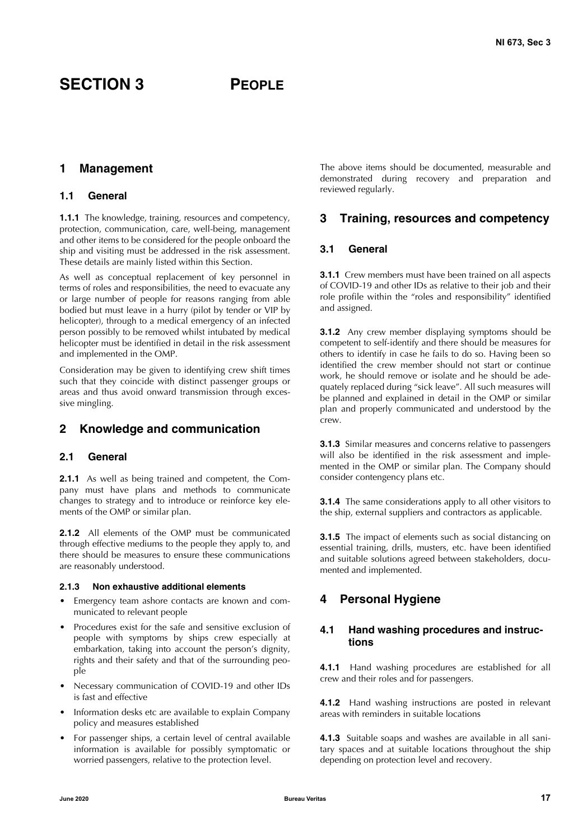# <span id="page-18-1"></span><span id="page-18-0"></span>**1 Management**

#### <span id="page-18-2"></span>**1.1 General**

**1.1.1** The knowledge, training, resources and competency, protection, communication, care, well-being, management and other items to be considered for the people onboard the ship and visiting must be addressed in the risk assessment. These details are mainly listed within this Section.

As well as conceptual replacement of key personnel in terms of roles and responsibilities, the need to evacuate any or large number of people for reasons ranging from able bodied but must leave in a hurry (pilot by tender or VIP by helicopter), through to a medical emergency of an infected person possibly to be removed whilst intubated by medical helicopter must be identified in detail in the risk assessment and implemented in the OMP.

Consideration may be given to identifying crew shift times such that they coincide with distinct passenger groups or areas and thus avoid onward transmission through excessive mingling.

## <span id="page-18-3"></span>**2 Knowledge and communication**

#### <span id="page-18-4"></span>**2.1 General**

**2.1.1** As well as being trained and competent, the Company must have plans and methods to communicate changes to strategy and to introduce or reinforce key elements of the OMP or similar plan.

**2.1.2** All elements of the OMP must be communicated through effective mediums to the people they apply to, and there should be measures to ensure these communications are reasonably understood.

#### **2.1.3 Non exhaustive additional elements**

- Emergency team ashore contacts are known and communicated to relevant people
- Procedures exist for the safe and sensitive exclusion of people with symptoms by ships crew especially at embarkation, taking into account the person's dignity, rights and their safety and that of the surrounding people
- Necessary communication of COVID-19 and other IDs is fast and effective
- Information desks etc are available to explain Company policy and measures established
- For passenger ships, a certain level of central available information is available for possibly symptomatic or worried passengers, relative to the protection level.

The above items should be documented, measurable and demonstrated during recovery and preparation and reviewed regularly.

# <span id="page-18-5"></span>**3 Training, resources and competency**

#### <span id="page-18-6"></span>**3.1 General**

**3.1.1** Crew members must have been trained on all aspects of COVID-19 and other IDs as relative to their job and their role profile within the "roles and responsibility" identified and assigned.

**3.1.2** Any crew member displaying symptoms should be competent to self-identify and there should be measures for others to identify in case he fails to do so. Having been so identified the crew member should not start or continue work, he should remove or isolate and he should be adequately replaced during "sick leave". All such measures will be planned and explained in detail in the OMP or similar plan and properly communicated and understood by the crew.

**3.1.3** Similar measures and concerns relative to passengers will also be identified in the risk assessment and implemented in the OMP or similar plan. The Company should consider contengency plans etc.

**3.1.4** The same considerations apply to all other visitors to the ship, external suppliers and contractors as applicable.

**3.1.5** The impact of elements such as social distancing on essential training, drills, musters, etc. have been identified and suitable solutions agreed between stakeholders, documented and implemented.

# <span id="page-18-7"></span>**4 Personal Hygiene**

#### <span id="page-18-8"></span>**4.1 Hand washing procedures and instructions**

**4.1.1** Hand washing procedures are established for all crew and their roles and for passengers.

**4.1.2** Hand washing instructions are posted in relevant areas with reminders in suitable locations

**4.1.3** Suitable soaps and washes are available in all sanitary spaces and at suitable locations throughout the ship depending on protection level and recovery.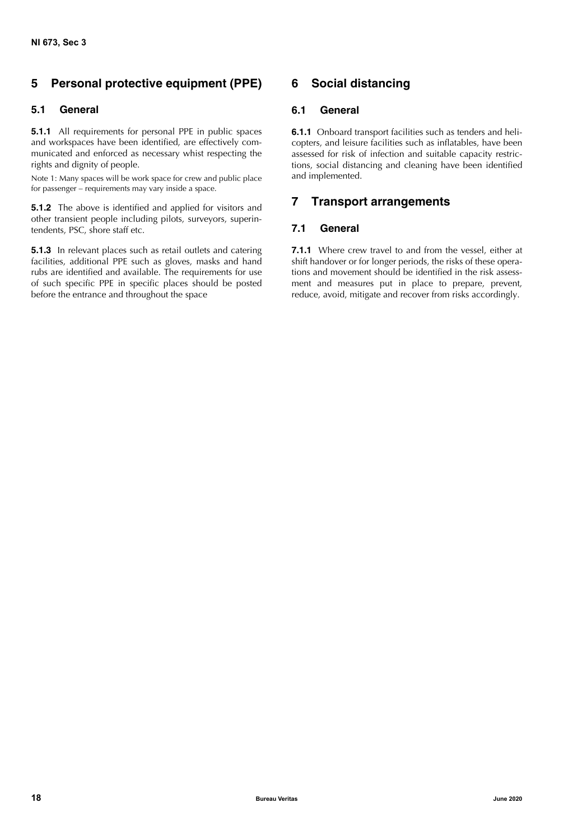# <span id="page-19-0"></span>**5 Personal protective equipment (PPE)**

# <span id="page-19-1"></span>**5.1 General**

**5.1.1** All requirements for personal PPE in public spaces and workspaces have been identified, are effectively communicated and enforced as necessary whist respecting the rights and dignity of people.

Note 1: Many spaces will be work space for crew and public place for passenger – requirements may vary inside a space.

**5.1.2** The above is identified and applied for visitors and other transient people including pilots, surveyors, superintendents, PSC, shore staff etc.

**5.1.3** In relevant places such as retail outlets and catering facilities, additional PPE such as gloves, masks and hand rubs are identified and available. The requirements for use of such specific PPE in specific places should be posted before the entrance and throughout the space

# <span id="page-19-2"></span>**6 Social distancing**

## <span id="page-19-3"></span>**6.1 General**

**6.1.1** Onboard transport facilities such as tenders and helicopters, and leisure facilities such as inflatables, have been assessed for risk of infection and suitable capacity restrictions, social distancing and cleaning have been identified and implemented.

# <span id="page-19-4"></span>**7 Transport arrangements**

## <span id="page-19-5"></span>**7.1 General**

**7.1.1** Where crew travel to and from the vessel, either at shift handover or for longer periods, the risks of these operations and movement should be identified in the risk assessment and measures put in place to prepare, prevent, reduce, avoid, mitigate and recover from risks accordingly.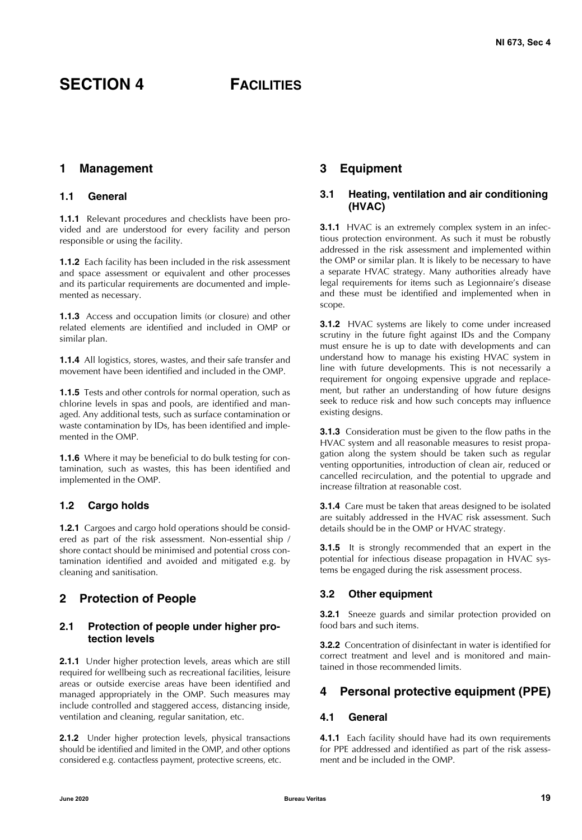# <span id="page-20-0"></span>**SECTION 4 FACILITIES**

## <span id="page-20-1"></span>**1 Management**

#### <span id="page-20-2"></span>**1.1 General**

**1.1.1** Relevant procedures and checklists have been provided and are understood for every facility and person responsible or using the facility.

**1.1.2** Each facility has been included in the risk assessment and space assessment or equivalent and other processes and its particular requirements are documented and implemented as necessary.

**1.1.3** Access and occupation limits (or closure) and other related elements are identified and included in OMP or similar plan.

**1.1.4** All logistics, stores, wastes, and their safe transfer and movement have been identified and included in the OMP.

**1.1.5** Tests and other controls for normal operation, such as chlorine levels in spas and pools, are identified and managed. Any additional tests, such as surface contamination or waste contamination by IDs, has been identified and implemented in the OMP.

**1.1.6** Where it may be beneficial to do bulk testing for contamination, such as wastes, this has been identified and implemented in the OMP.

#### <span id="page-20-3"></span>**1.2 Cargo holds**

**1.2.1** Cargoes and cargo hold operations should be considered as part of the risk assessment. Non-essential ship / shore contact should be minimised and potential cross contamination identified and avoided and mitigated e.g. by cleaning and sanitisation.

## <span id="page-20-4"></span>**2 Protection of People**

### <span id="page-20-5"></span>**2.1 Protection of people under higher protection levels**

**2.1.1** Under higher protection levels, areas which are still required for wellbeing such as recreational facilities, leisure areas or outside exercise areas have been identified and managed appropriately in the OMP. Such measures may include controlled and staggered access, distancing inside, ventilation and cleaning, regular sanitation, etc.

**2.1.2** Under higher protection levels, physical transactions should be identified and limited in the OMP, and other options considered e.g. contactless payment, protective screens, etc.

# <span id="page-20-6"></span>**3 Equipment**

#### <span id="page-20-7"></span>**3.1 Heating, ventilation and air conditioning (HVAC)**

**3.1.1** HVAC is an extremely complex system in an infectious protection environment. As such it must be robustly addressed in the risk assessment and implemented within the OMP or similar plan. It is likely to be necessary to have a separate HVAC strategy. Many authorities already have legal requirements for items such as Legionnaire's disease and these must be identified and implemented when in scope.

**3.1.2** HVAC systems are likely to come under increased scrutiny in the future fight against IDs and the Company must ensure he is up to date with developments and can understand how to manage his existing HVAC system in line with future developments. This is not necessarily a requirement for ongoing expensive upgrade and replacement, but rather an understanding of how future designs seek to reduce risk and how such concepts may influence existing designs.

**3.1.3** Consideration must be given to the flow paths in the HVAC system and all reasonable measures to resist propagation along the system should be taken such as regular venting opportunities, introduction of clean air, reduced or cancelled recirculation, and the potential to upgrade and increase filtration at reasonable cost.

**3.1.4** Care must be taken that areas designed to be isolated are suitably addressed in the HVAC risk assessment. Such details should be in the OMP or HVAC strategy.

**3.1.5** It is strongly recommended that an expert in the potential for infectious disease propagation in HVAC systems be engaged during the risk assessment process.

#### <span id="page-20-8"></span>**3.2 Other equipment**

**3.2.1** Sneeze guards and similar protection provided on food bars and such items.

**3.2.2** Concentration of disinfectant in water is identified for correct treatment and level and is monitored and maintained in those recommended limits.

# <span id="page-20-9"></span>**4 Personal protective equipment (PPE)**

#### <span id="page-20-10"></span>**4.1 General**

**4.1.1** Each facility should have had its own requirements for PPE addressed and identified as part of the risk assessment and be included in the OMP.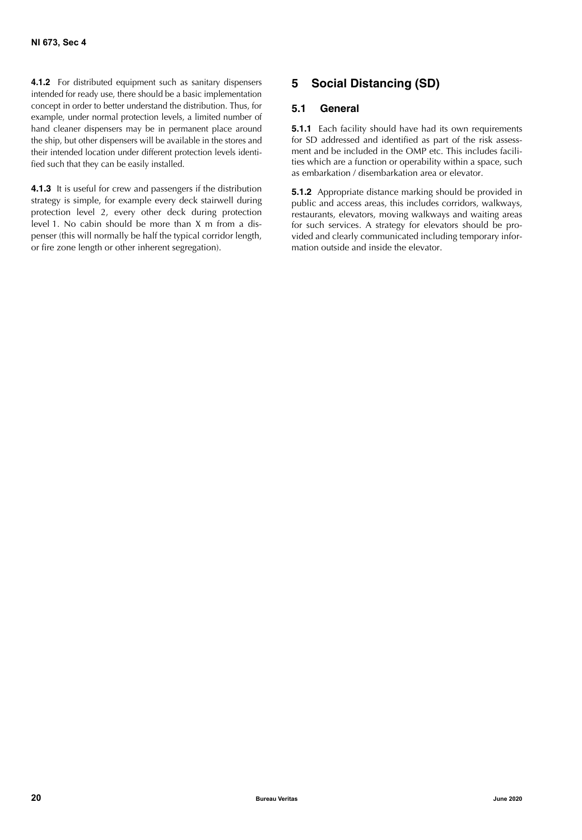**4.1.2** For distributed equipment such as sanitary dispensers intended for ready use, there should be a basic implementation concept in order to better understand the distribution. Thus, for example, under normal protection levels, a limited number of hand cleaner dispensers may be in permanent place around the ship, but other dispensers will be available in the stores and their intended location under different protection levels identified such that they can be easily installed.

**4.1.3** It is useful for crew and passengers if the distribution strategy is simple, for example every deck stairwell during protection level 2, every other deck during protection level 1. No cabin should be more than X m from a dispenser (this will normally be half the typical corridor length, or fire zone length or other inherent segregation).

# <span id="page-21-0"></span>**5 Social Distancing (SD)**

## <span id="page-21-1"></span>**5.1 General**

**5.1.1** Each facility should have had its own requirements for SD addressed and identified as part of the risk assessment and be included in the OMP etc. This includes facilities which are a function or operability within a space, such as embarkation / disembarkation area or elevator.

**5.1.2** Appropriate distance marking should be provided in public and access areas, this includes corridors, walkways, restaurants, elevators, moving walkways and waiting areas for such services. A strategy for elevators should be provided and clearly communicated including temporary information outside and inside the elevator.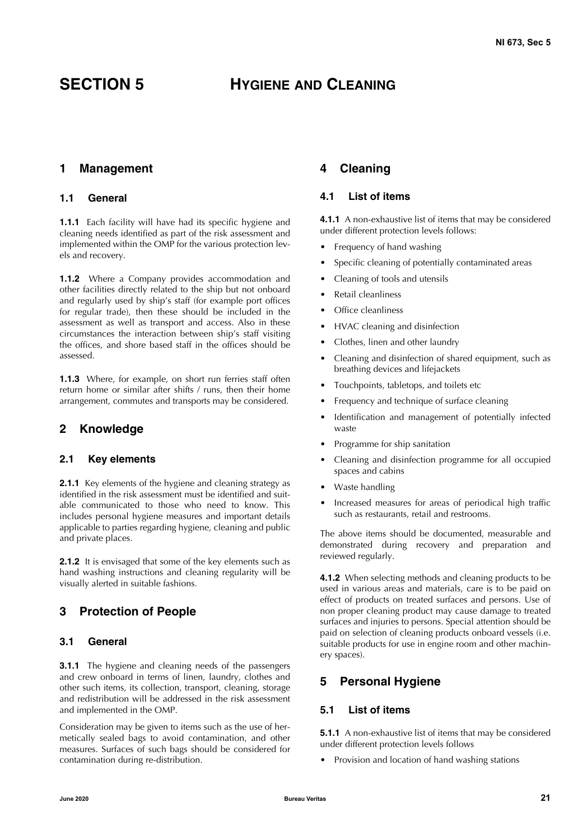# <span id="page-22-0"></span>**SECTION 5 HYGIENE AND CLEANING**

## <span id="page-22-1"></span>**1 Management**

#### <span id="page-22-2"></span>**1.1 General**

**1.1.1** Each facility will have had its specific hygiene and cleaning needs identified as part of the risk assessment and implemented within the OMP for the various protection levels and recovery.

**1.1.2** Where a Company provides accommodation and other facilities directly related to the ship but not onboard and regularly used by ship's staff (for example port offices for regular trade), then these should be included in the assessment as well as transport and access. Also in these circumstances the interaction between ship's staff visiting the offices, and shore based staff in the offices should be assessed.

**1.1.3** Where, for example, on short run ferries staff often return home or similar after shifts / runs, then their home arrangement, commutes and transports may be considered.

## <span id="page-22-3"></span>**2 Knowledge**

#### <span id="page-22-4"></span>**2.1 Key elements**

**2.1.1** Key elements of the hygiene and cleaning strategy as identified in the risk assessment must be identified and suitable communicated to those who need to know. This includes personal hygiene measures and important details applicable to parties regarding hygiene, cleaning and public and private places.

**2.1.2** It is envisaged that some of the key elements such as hand washing instructions and cleaning regularity will be visually alerted in suitable fashions.

# <span id="page-22-5"></span>**3 Protection of People**

#### <span id="page-22-6"></span>**3.1 General**

**3.1.1** The hygiene and cleaning needs of the passengers and crew onboard in terms of linen, laundry, clothes and other such items, its collection, transport, cleaning, storage and redistribution will be addressed in the risk assessment and implemented in the OMP.

Consideration may be given to items such as the use of hermetically sealed bags to avoid contamination, and other measures. Surfaces of such bags should be considered for contamination during re-distribution.

# <span id="page-22-7"></span>**4 Cleaning**

## <span id="page-22-8"></span>**4.1 List of items**

**4.1.1** A non-exhaustive list of items that may be considered under different protection levels follows:

- Frequency of hand washing
- Specific cleaning of potentially contaminated areas
- Cleaning of tools and utensils
- Retail cleanliness
- Office cleanliness
- HVAC cleaning and disinfection
- Clothes, linen and other laundry
- Cleaning and disinfection of shared equipment, such as breathing devices and lifejackets
- Touchpoints, tabletops, and toilets etc
- Frequency and technique of surface cleaning
- Identification and management of potentially infected waste
- Programme for ship sanitation
- Cleaning and disinfection programme for all occupied spaces and cabins
- Waste handling
- Increased measures for areas of periodical high traffic such as restaurants, retail and restrooms.

The above items should be documented, measurable and demonstrated during recovery and preparation and reviewed regularly.

**4.1.2** When selecting methods and cleaning products to be used in various areas and materials, care is to be paid on effect of products on treated surfaces and persons. Use of non proper cleaning product may cause damage to treated surfaces and injuries to persons. Special attention should be paid on selection of cleaning products onboard vessels (i.e. suitable products for use in engine room and other machinery spaces).

# <span id="page-22-9"></span>**5 Personal Hygiene**

### <span id="page-22-10"></span>**5.1 List of items**

**5.1.1** A non-exhaustive list of items that may be considered under different protection levels follows

• Provision and location of hand washing stations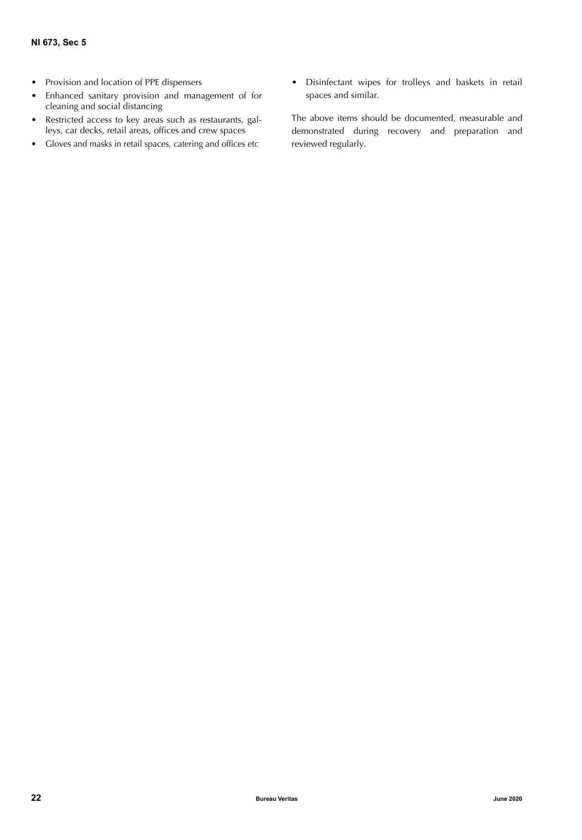- Provision and location of PPE dispensers
- Enhanced sanitary provision and management of for cleaning and social distancing
- Restricted access to key areas such as restaurants, galleys, car decks, retail areas, offices and crew spaces
- Gloves and masks in retail spaces, catering and offices etc
- Disinfectant wipes for trolleys and baskets in retail spaces and similar.

The above items should be documented, measurable and demonstrated during recovery and preparation and reviewed regularly.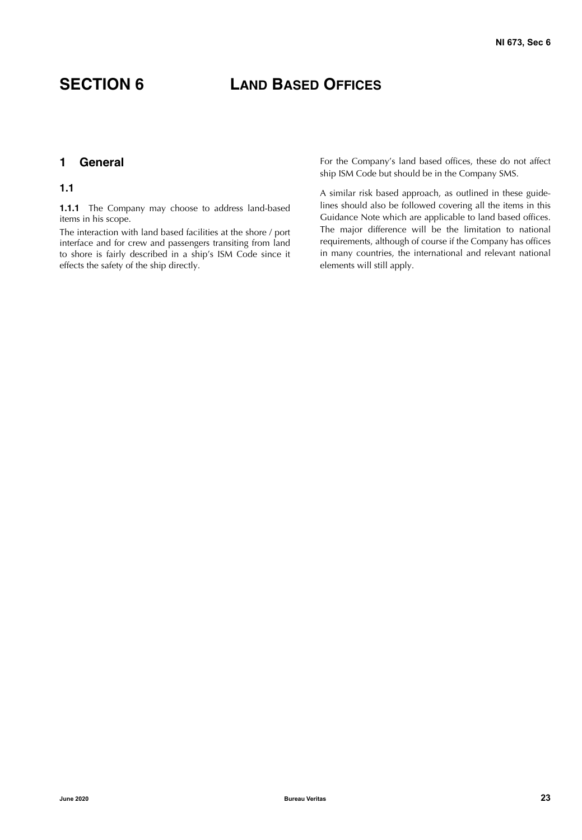# <span id="page-24-0"></span>**SECTION 6 LAND BASED OFFICES**

# <span id="page-24-1"></span>**1 General**

#### <span id="page-24-2"></span>**1.1**

1.1.1 The Company may choose to address land-based items in his scope.

The interaction with land based facilities at the shore / port interface and for crew and passengers transiting from land to shore is fairly described in a ship's ISM Code since it effects the safety of the ship directly.

For the Company's land based offices, these do not affect ship ISM Code but should be in the Company SMS.

A similar risk based approach, as outlined in these guidelines should also be followed covering all the items in this Guidance Note which are applicable to land based offices. The major difference will be the limitation to national requirements, although of course if the Company has offices in many countries, the international and relevant national elements will still apply.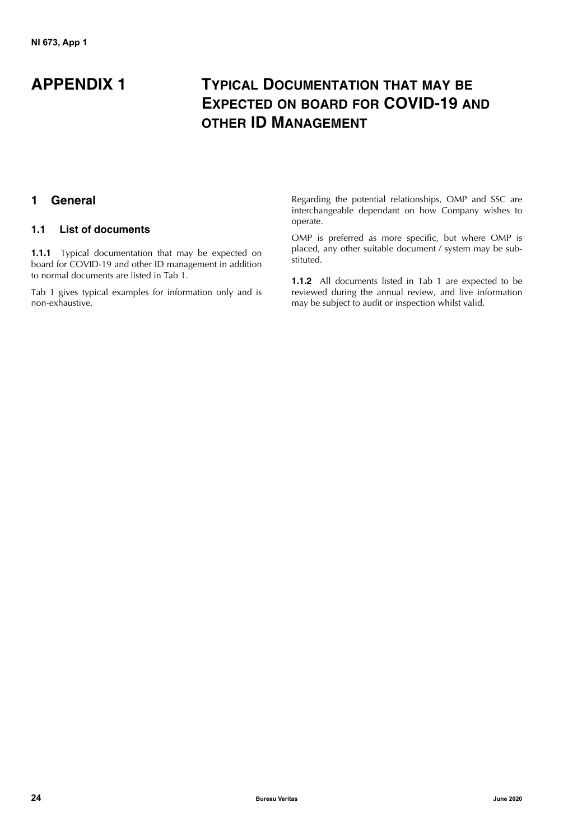# **APPENDIX 1 TYPICAL DOCUMENTATION THAT MAY BE EXPECTED ON BOARD FOR COVID-19 AND OTHER ID MANAGEMENT**

# <span id="page-25-0"></span>**1 General**

## <span id="page-25-1"></span>**1.1 List of documents**

**1.1.1** Typical documentation that may be expected on board for COVID-19 and other ID management in addition to normal documents are listed in Tab 1.

Tab 1 gives typical examples for information only and is non-exhaustive.

Regarding the potential relationships, OMP and SSC are interchangeable dependant on how Company wishes to operate.

OMP is preferred as more specific, but where OMP is placed, any other suitable document / system may be substituted.

**1.1.2** All documents listed in Tab 1 are expected to be reviewed during the annual review, and live information may be subject to audit or inspection whilst valid.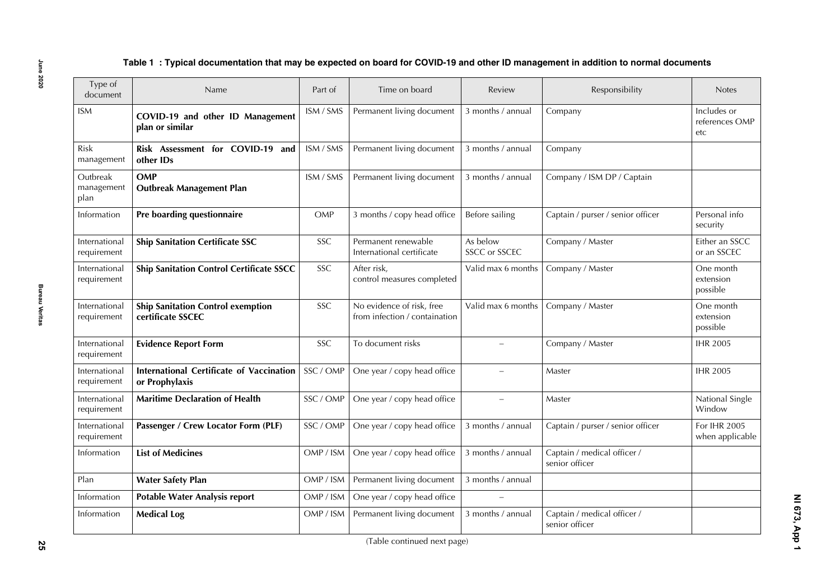| Type of<br>document            | Name                                                          | Part of    | Time on board                                              | Review                    | Responsibility                                | <b>Notes</b>                         |
|--------------------------------|---------------------------------------------------------------|------------|------------------------------------------------------------|---------------------------|-----------------------------------------------|--------------------------------------|
| <b>ISM</b>                     | COVID-19 and other ID Management<br>plan or similar           | ISM / SMS  | Permanent living document                                  | 3 months / annual         | Company                                       | Includes or<br>references OMP<br>etc |
| Risk<br>management             | Risk Assessment for COVID-19 and<br>other IDs                 | ISM / SMS  | Permanent living document                                  | 3 months / annual         | Company                                       |                                      |
| Outbreak<br>management<br>plan | OMP<br><b>Outbreak Management Plan</b>                        | ISM / SMS  | Permanent living document                                  | 3 months / annual         | Company / ISM DP / Captain                    |                                      |
| Information                    | Pre boarding questionnaire                                    | OMP        | 3 months / copy head office                                | Before sailing            | Captain / purser / senior officer             | Personal info<br>security            |
| International<br>requirement   | <b>Ship Sanitation Certificate SSC</b>                        | SSC        | Permanent renewable<br>International certificate           | As below<br>SSCC or SSCEC | Company / Master                              | Either an SSCC<br>or an SSCEC        |
| International<br>requirement   | <b>Ship Sanitation Control Certificate SSCC</b>               | SSC        | After risk,<br>control measures completed                  | Valid max 6 months        | Company / Master                              | One month<br>extension<br>possible   |
| International<br>requirement   | <b>Ship Sanitation Control exemption</b><br>certificate SSCEC | <b>SSC</b> | No evidence of risk, free<br>from infection / containation | Valid max 6 months        | Company / Master                              | One month<br>extension<br>possible   |
| International<br>requirement   | <b>Evidence Report Form</b>                                   | <b>SSC</b> | To document risks                                          | $\overline{\phantom{a}}$  | Company / Master                              | <b>IHR 2005</b>                      |
| International<br>requirement   | International Certificate of Vaccination<br>or Prophylaxis    | SSC / OMP  | One year / copy head office                                |                           | Master                                        | <b>IHR 2005</b>                      |
| International<br>requirement   | <b>Maritime Declaration of Health</b>                         | SSC / OMP  | One year / copy head office                                | $\overline{\phantom{0}}$  | Master                                        | National Single<br>Window            |
| International<br>requirement   | Passenger / Crew Locator Form (PLF)                           | SSC / OMP  | One year / copy head office                                | 3 months / annual         | Captain / purser / senior officer             | For IHR 2005<br>when applicable      |
| Information                    | <b>List of Medicines</b>                                      | OMP / ISM  | One year / copy head office                                | 3 months / annual         | Captain / medical officer /<br>senior officer |                                      |
| Plan                           | <b>Water Safety Plan</b>                                      | OMP / ISM  | Permanent living document                                  | 3 months / annual         |                                               |                                      |
| Information                    | <b>Potable Water Analysis report</b>                          | OMP / ISM  | One year / copy head office                                |                           |                                               |                                      |
| Information                    | <b>Medical Log</b>                                            | OMP / ISM  | Permanent living document                                  | 3 months / annual         | Captain / medical officer /<br>senior officer |                                      |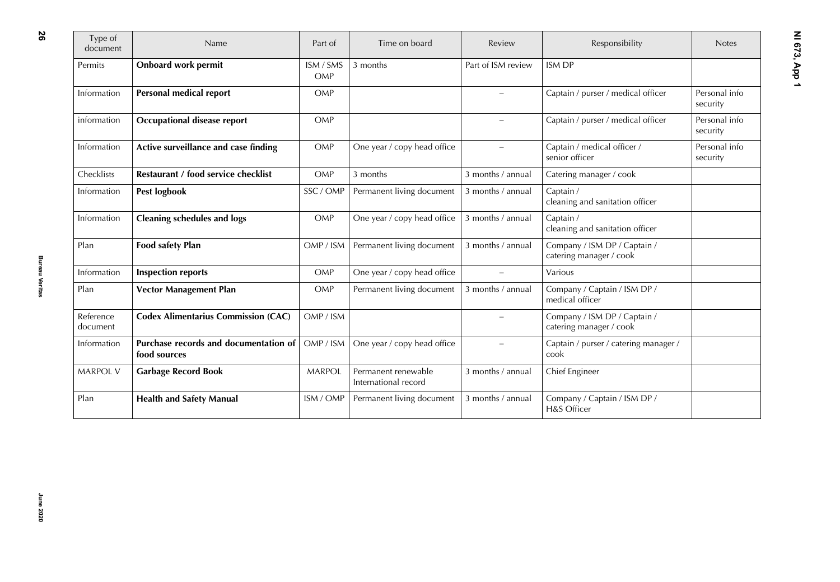| Type of<br>document   | Name                                                  | Part of          | Time on board                               | Review                   | Responsibility                                          | <b>Notes</b>              |
|-----------------------|-------------------------------------------------------|------------------|---------------------------------------------|--------------------------|---------------------------------------------------------|---------------------------|
| Permits               | <b>Onboard work permit</b>                            | ISM / SMS<br>OMP | 3 months                                    | Part of ISM review       | <b>ISM DP</b>                                           |                           |
| Information           | Personal medical report                               | OMP              |                                             |                          | Captain / purser / medical officer                      | Personal info<br>security |
| information           | Occupational disease report                           | OMP              |                                             |                          | Captain / purser / medical officer                      | Personal info<br>security |
| Information           | Active surveillance and case finding                  | OMP              | One year / copy head office                 | $\overline{\phantom{0}}$ | Captain / medical officer /<br>senior officer           | Personal info<br>security |
| Checklists            | Restaurant / food service checklist                   | OMP              | 3 months                                    | 3 months / annual        | Catering manager / cook                                 |                           |
| Information           | Pest logbook                                          | SSC / OMP        | Permanent living document                   | 3 months / annual        | Captain /<br>cleaning and sanitation officer            |                           |
| Information           | <b>Cleaning schedules and logs</b>                    | OMP              | One year / copy head office                 | 3 months / annual        | Captain /<br>cleaning and sanitation officer            |                           |
| Plan                  | <b>Food safety Plan</b>                               | OMP / ISM        | Permanent living document                   | 3 months / annual        | Company / ISM DP / Captain /<br>catering manager / cook |                           |
| Information           | <b>Inspection reports</b>                             | OMP              | One year / copy head office                 | $\overline{\phantom{0}}$ | Various                                                 |                           |
| Plan                  | <b>Vector Management Plan</b>                         | OMP              | Permanent living document                   | 3 months / annual        | Company / Captain / ISM DP /<br>medical officer         |                           |
| Reference<br>document | <b>Codex Alimentarius Commission (CAC)</b>            | OMP / ISM        |                                             |                          | Company / ISM DP / Captain /<br>catering manager / cook |                           |
| Information           | Purchase records and documentation of<br>food sources | OMP / ISM        | One year / copy head office                 |                          | Captain / purser / catering manager /<br>cook           |                           |
| <b>MARPOL V</b>       | <b>Garbage Record Book</b>                            | <b>MARPOL</b>    | Permanent renewable<br>International record | 3 months / annual        | Chief Engineer                                          |                           |
| Plan                  | <b>Health and Safety Manual</b>                       | ISM / OMP        | Permanent living document                   | 3 months / annual        | Company / Captain / ISM DP /<br>H&S Officer             |                           |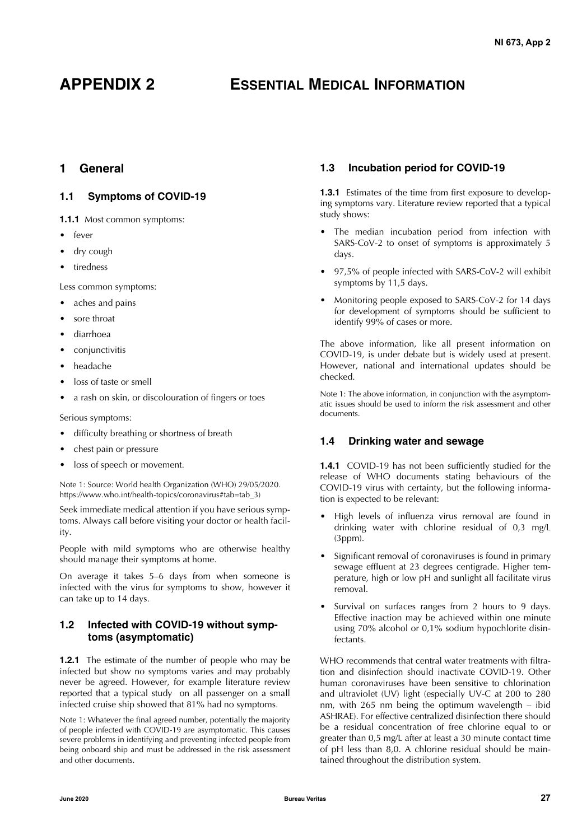# **APPENDIX 2 ESSENTIAL MEDICAL INFORMATION**

# <span id="page-28-0"></span>**1 General**

# <span id="page-28-1"></span>**1.1 Symptoms of COVID-19**

- **1.1.1** Most common symptoms:
- fever
- dry cough
- tiredness

Less common symptoms:

- aches and pains
- sore throat
- diarrhoea
- conjunctivitis
- headache
- loss of taste or smell
- a rash on skin, or discolouration of fingers or toes

Serious symptoms:

- difficulty breathing or shortness of breath
- chest pain or pressure
- loss of speech or movement.

Note 1: Source: World health Organization (WHO) 29/05/2020. https://www.who.int/health-topics/coronavirus#tab=tab\_3)

Seek immediate medical attention if you have serious symptoms. Always call before visiting your doctor or health facility.

People with mild symptoms who are otherwise healthy should manage their symptoms at home.

On average it takes 5–6 days from when someone is infected with the virus for symptoms to show, however it can take up to 14 days.

## <span id="page-28-2"></span>**1.2 Infected with COVID-19 without symptoms (asymptomatic)**

**1.2.1** The estimate of the number of people who may be infected but show no symptoms varies and may probably never be agreed. However, for example literature review reported that a typical study on all passenger on a small infected cruise ship showed that 81% had no symptoms.

Note 1: Whatever the final agreed number, potentially the majority of people infected with COVID-19 are asymptomatic. This causes severe problems in identifying and preventing infected people from being onboard ship and must be addressed in the risk assessment and other documents.

# <span id="page-28-3"></span>**1.3 Incubation period for COVID-19**

**1.3.1** Estimates of the time from first exposure to developing symptoms vary. Literature review reported that a typical study shows:

- The median incubation period from infection with SARS-CoV-2 to onset of symptoms is approximately 5 days.
- 97,5% of people infected with SARS-CoV-2 will exhibit symptoms by 11,5 days.
- Monitoring people exposed to SARS-CoV-2 for 14 days for development of symptoms should be sufficient to identify 99% of cases or more.

The above information, like all present information on COVID-19, is under debate but is widely used at present. However, national and international updates should be checked.

Note 1: The above information, in conjunction with the asymptomatic issues should be used to inform the risk assessment and other documents.

## <span id="page-28-4"></span>**1.4 Drinking water and sewage**

**1.4.1** COVID-19 has not been sufficiently studied for the release of WHO documents stating behaviours of the COVID-19 virus with certainty, but the following information is expected to be relevant:

- High levels of influenza virus removal are found in drinking water with chlorine residual of 0,3 mg/L (3ppm).
- Significant removal of coronaviruses is found in primary sewage effluent at 23 degrees centigrade. Higher temperature, high or low pH and sunlight all facilitate virus removal.
- Survival on surfaces ranges from 2 hours to 9 days. Effective inaction may be achieved within one minute using 70% alcohol or 0,1% sodium hypochlorite disinfectants.

WHO recommends that central water treatments with filtration and disinfection should inactivate COVID-19. Other human coronaviruses have been sensitive to chlorination and ultraviolet (UV) light (especially UV-C at 200 to 280 nm, with 265 nm being the optimum wavelength – ibid ASHRAE). For effective centralized disinfection there should be a residual concentration of free chlorine equal to or greater than 0,5 mg/L after at least a 30 minute contact time of pH less than 8,0. A chlorine residual should be maintained throughout the distribution system.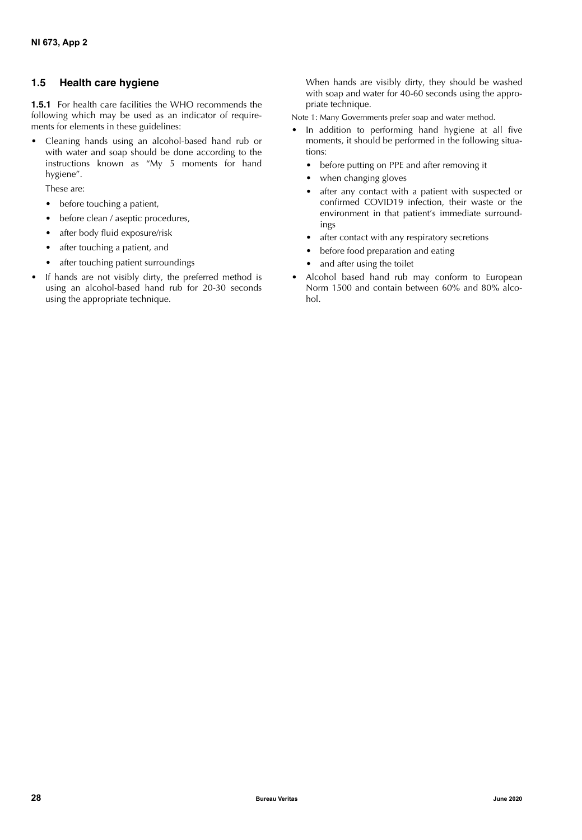# <span id="page-29-0"></span>**1.5 Health care hygiene**

**1.5.1** For health care facilities the WHO recommends the following which may be used as an indicator of requirements for elements in these guidelines:

• Cleaning hands using an alcohol-based hand rub or with water and soap should be done according to the instructions known as "My 5 moments for hand hygiene".

These are:

- before touching a patient,
- before clean / aseptic procedures,
- after body fluid exposure/risk
- after touching a patient, and
- after touching patient surroundings
- If hands are not visibly dirty, the preferred method is using an alcohol-based hand rub for 20-30 seconds using the appropriate technique.

When hands are visibly dirty, they should be washed with soap and water for 40-60 seconds using the appropriate technique.

Note 1: Many Governments prefer soap and water method.

- In addition to performing hand hygiene at all five moments, it should be performed in the following situations:
	- before putting on PPE and after removing it
	- when changing gloves
	- after any contact with a patient with suspected or confirmed COVID19 infection, their waste or the environment in that patient's immediate surroundings
	- after contact with any respiratory secretions
	- before food preparation and eating
	- and after using the toilet
- Alcohol based hand rub may conform to European Norm 1500 and contain between 60% and 80% alcohol.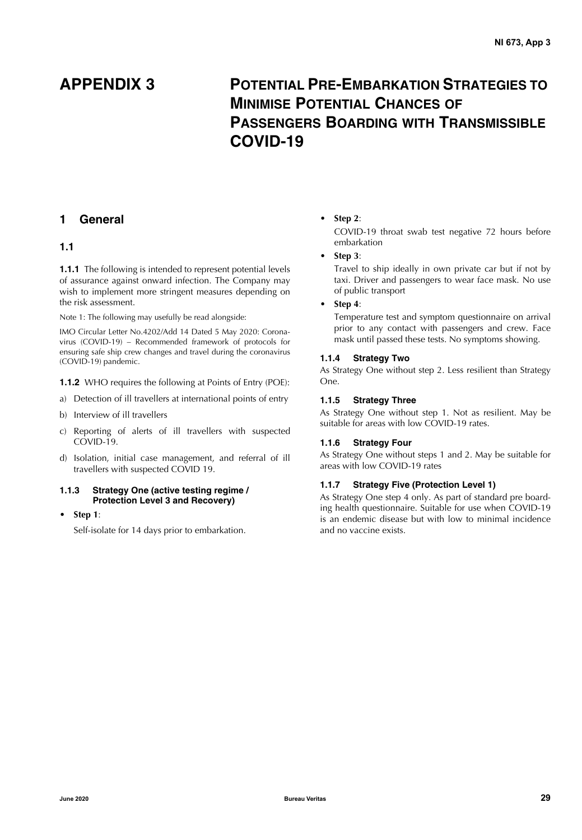# **APPENDIX 3 POTENTIAL PRE-EMBARKATION STRATEGIES TO MINIMISE POTENTIAL CHANCES OF PASSENGERS BOARDING WITH TRANSMISSIBLE COVID-19**

# <span id="page-30-0"></span>**1 General**

## <span id="page-30-1"></span>**1.1**

**1.1.1** The following is intended to represent potential levels of assurance against onward infection. The Company may wish to implement more stringent measures depending on the risk assessment.

Note 1: The following may usefully be read alongside:

IMO Circular Letter No.4202/Add 14 Dated 5 May 2020: Coronavirus (COVID-19) – Recommended framework of protocols for ensuring safe ship crew changes and travel during the coronavirus (COVID-19) pandemic.

**1.1.2** WHO requires the following at Points of Entry (POE):

- a) Detection of ill travellers at international points of entry
- b) Interview of ill travellers
- c) Reporting of alerts of ill travellers with suspected COVID-19.
- d) Isolation, initial case management, and referral of ill travellers with suspected COVID 19.

#### **1.1.3 Strategy One (active testing regime / Protection Level 3 and Recovery)**

• **Step 1**:

Self-isolate for 14 days prior to embarkation.

#### • **Step 2**:

COVID-19 throat swab test negative 72 hours before embarkation

• **Step 3**:

Travel to ship ideally in own private car but if not by taxi. Driver and passengers to wear face mask. No use of public transport

#### • **Step 4**:

Temperature test and symptom questionnaire on arrival prior to any contact with passengers and crew. Face mask until passed these tests. No symptoms showing.

#### **1.1.4 Strategy Two**

As Strategy One without step 2. Less resilient than Strategy One.

#### **1.1.5 Strategy Three**

As Strategy One without step 1. Not as resilient. May be suitable for areas with low COVID-19 rates.

#### **1.1.6 Strategy Four**

As Strategy One without steps 1 and 2. May be suitable for areas with low COVID-19 rates

#### **1.1.7 Strategy Five (Protection Level 1)**

As Strategy One step 4 only. As part of standard pre boarding health questionnaire. Suitable for use when COVID-19 is an endemic disease but with low to minimal incidence and no vaccine exists.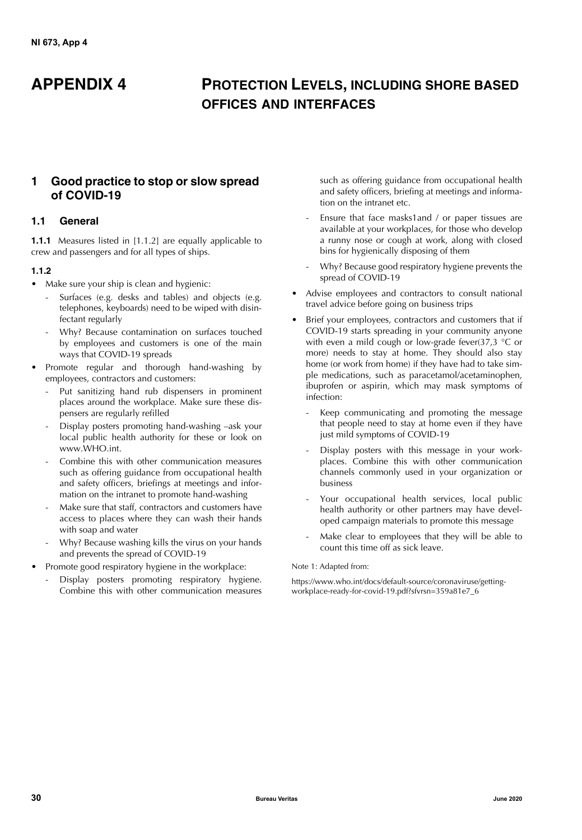# **APPENDIX 4 PROTECTION LEVELS, INCLUDING SHORE BASED OFFICES AND INTERFACES**

# <span id="page-31-0"></span>**1 Good practice to stop or slow spread of COVID-19**

## <span id="page-31-1"></span>**1.1 General**

**1.1.1** Measures listed in [1.1.2] are equally applicable to crew and passengers and for all types of ships.

#### **1.1.2**

- Make sure your ship is clean and hygienic:
	- Surfaces (e.g. desks and tables) and objects (e.g. telephones, keyboards) need to be wiped with disinfectant regularly
	- Why? Because contamination on surfaces touched by employees and customers is one of the main ways that COVID-19 spreads
- Promote regular and thorough hand-washing by employees, contractors and customers:
	- Put sanitizing hand rub dispensers in prominent places around the workplace. Make sure these dispensers are regularly refilled
	- Display posters promoting hand-washing –ask your local public health authority for these or look on www.WHO.int.
	- Combine this with other communication measures such as offering guidance from occupational health and safety officers, briefings at meetings and information on the intranet to promote hand-washing
	- Make sure that staff, contractors and customers have access to places where they can wash their hands with soap and water
	- Why? Because washing kills the virus on your hands and prevents the spread of COVID-19
- Promote good respiratory hygiene in the workplace:
	- Display posters promoting respiratory hygiene. Combine this with other communication measures

such as offering guidance from occupational health and safety officers, briefing at meetings and information on the intranet etc.

- Ensure that face masks1and / or paper tissues are available at your workplaces, for those who develop a runny nose or cough at work, along with closed bins for hygienically disposing of them
- Why? Because good respiratory hygiene prevents the spread of COVID-19
- Advise employees and contractors to consult national travel advice before going on business trips
- Brief your employees, contractors and customers that if COVID-19 starts spreading in your community anyone with even a mild cough or low-grade fever(37,3  $\degree$ C or more) needs to stay at home. They should also stay home (or work from home) if they have had to take simple medications, such as paracetamol/acetaminophen, ibuprofen or aspirin, which may mask symptoms of infection:
	- Keep communicating and promoting the message that people need to stay at home even if they have just mild symptoms of COVID-19
	- Display posters with this message in your workplaces. Combine this with other communication channels commonly used in your organization or business
	- Your occupational health services, local public health authority or other partners may have developed campaign materials to promote this message
	- Make clear to employees that they will be able to count this time off as sick leave.

#### Note 1: Adapted from:

https://www.who.int/docs/default-source/coronaviruse/gettingworkplace-ready-for-covid-19.pdf?sfvrsn=359a81e7\_6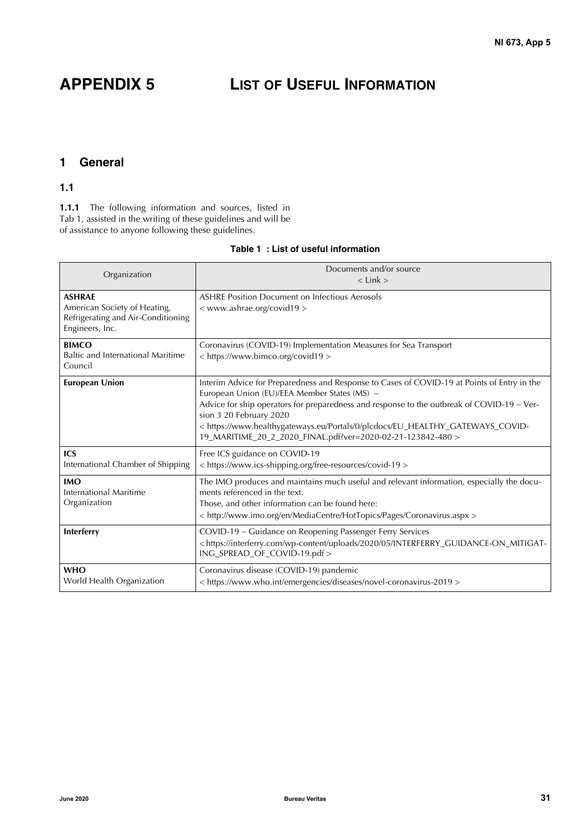# **APPENDIX 5 LIST OF USEFUL INFORMATION**

# <span id="page-32-0"></span>**1 General**

### <span id="page-32-1"></span>**1.1**

**1.1.1** The following information and sources, listed in Tab 1, assisted in the writing of these guidelines and will be of assistance to anyone following these guidelines.

#### **Table 1 : List of useful information**

| Organization                                                                                           | Documents and/or source<br>$<$ Link $>$                                                                                                                                                                                                                                                                                                                                                                              |
|--------------------------------------------------------------------------------------------------------|----------------------------------------------------------------------------------------------------------------------------------------------------------------------------------------------------------------------------------------------------------------------------------------------------------------------------------------------------------------------------------------------------------------------|
| <b>ASHRAE</b><br>American Society of Heating,<br>Refrigerating and Air-Conditioning<br>Engineers, Inc. | <b>ASHRE Position Document on Infectious Aerosols</b><br>< www.ashrae.org/covid19 >                                                                                                                                                                                                                                                                                                                                  |
| <b>BIMCO</b><br>Baltic and International Maritime<br>Council                                           | Coronavirus (COVID-19) Implementation Measures for Sea Transport<br>< https://www.bimco.org/covid19 >                                                                                                                                                                                                                                                                                                                |
| <b>European Union</b>                                                                                  | Interim Advice for Preparedness and Response to Cases of COVID-19 at Points of Entry in the<br>European Union (EU)/EEA Member States (MS) -<br>Advice for ship operators for preparedness and response to the outbreak of COVID-19 - Ver-<br>sion 3 20 February 2020<br>< https://www.healthygateways.eu/Portals/0/plcdocs/EU_HEALTHY_GATEWAYS_COVID-<br>19_MARITIME_20_2_2020_FINAL.pdf?ver=2020-02-21-123842-480 > |
| <b>ICS</b><br>International Chamber of Shipping                                                        | Free ICS guidance on COVID-19<br>< https://www.ics-shipping.org/free-resources/covid-19 >                                                                                                                                                                                                                                                                                                                            |
| <b>IMO</b><br><b>International Maritime</b><br>Organization                                            | The IMO produces and maintains much useful and relevant information, especially the docu-<br>ments referenced in the text.<br>Those, and other information can be found here:<br>< http://www.imo.org/en/MediaCentre/HotTopics/Pages/Coronavirus.aspx >                                                                                                                                                              |
| Interferry                                                                                             | COVID-19 - Guidance on Reopening Passenger Ferry Services<br><https: 05="" 2020="" interferry.com="" interferry_guidance-on_mitigat-<br="" uploads="" wp-content="">ING_SPREAD_OF_COVID-19.pdf &gt;</https:>                                                                                                                                                                                                         |
| <b>WHO</b><br>World Health Organization                                                                | Coronavirus disease (COVID-19) pandemic<br>< https://www.who.int/emergencies/diseases/novel-coronavirus-2019 >                                                                                                                                                                                                                                                                                                       |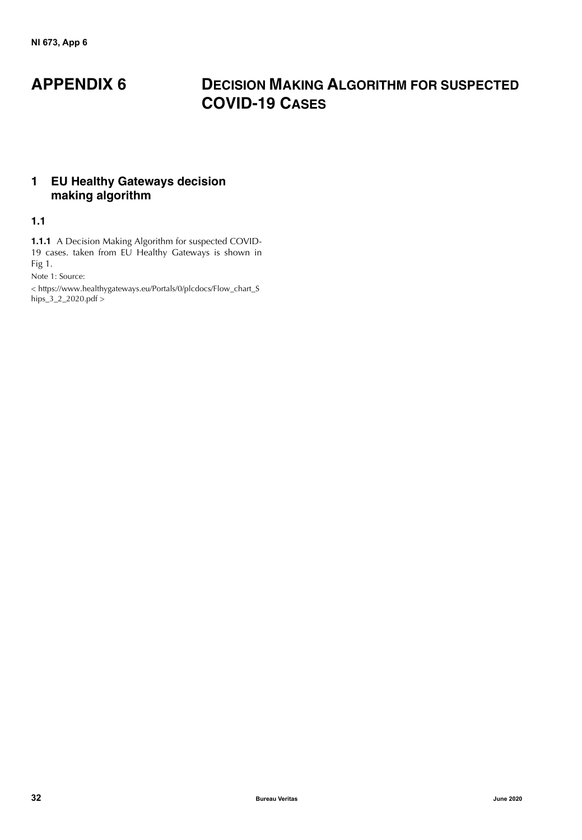# **APPENDIX 6 DECISION MAKING ALGORITHM FOR SUSPECTED COVID-19 CASES**

# <span id="page-33-0"></span>**1 EU Healthy Gateways decision making algorithm**

# <span id="page-33-1"></span>**1.1**

**1.1.1** A Decision Making Algorithm for suspected COVID-19 cases. taken from EU Healthy Gateways is shown in Fig 1.

Note 1: Source:

[< https://www.healthygateways.eu/Portals/0/plcdocs/Flow\\_chart\\_S](https://www.healthygateways.eu/Portals/0/plcdocs/Flow_chart_Ships_3_2_2020.pdf) hips\_ $3\_2\_2020$ .pdf >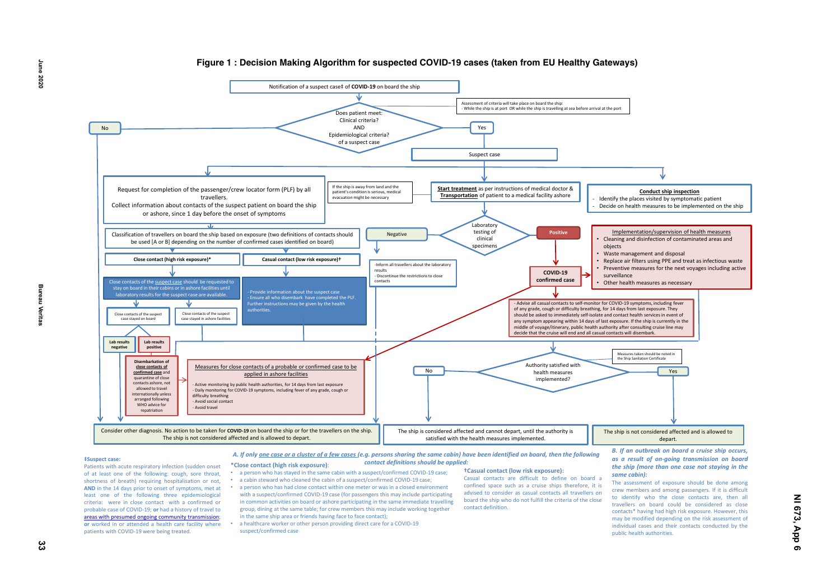

- 
- 
- 
-